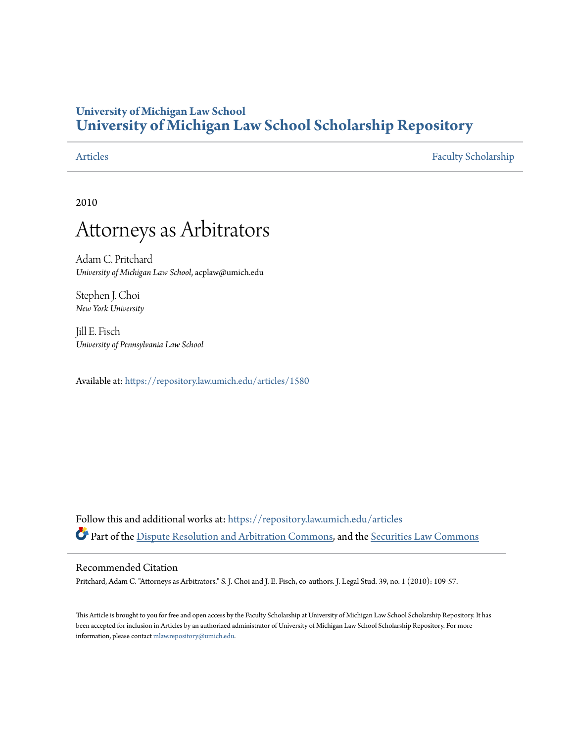# **University of Michigan Law School [University of Michigan Law School Scholarship Repository](https://repository.law.umich.edu?utm_source=repository.law.umich.edu%2Farticles%2F1580&utm_medium=PDF&utm_campaign=PDFCoverPages)**

[Articles](https://repository.law.umich.edu/articles?utm_source=repository.law.umich.edu%2Farticles%2F1580&utm_medium=PDF&utm_campaign=PDFCoverPages) [Faculty Scholarship](https://repository.law.umich.edu/faculty_scholarship?utm_source=repository.law.umich.edu%2Farticles%2F1580&utm_medium=PDF&utm_campaign=PDFCoverPages)

2010

# Attorneys as Arbitrators

Adam C. Pritchard *University of Michigan Law School*, acplaw@umich.edu

Stephen J. Choi *New York University*

Jill E. Fisch *University of Pennsylvania Law School*

Available at: <https://repository.law.umich.edu/articles/1580>

Follow this and additional works at: [https://repository.law.umich.edu/articles](https://repository.law.umich.edu/articles?utm_source=repository.law.umich.edu%2Farticles%2F1580&utm_medium=PDF&utm_campaign=PDFCoverPages) Part of the [Dispute Resolution and Arbitration Commons](http://network.bepress.com/hgg/discipline/890?utm_source=repository.law.umich.edu%2Farticles%2F1580&utm_medium=PDF&utm_campaign=PDFCoverPages), and the [Securities Law Commons](http://network.bepress.com/hgg/discipline/619?utm_source=repository.law.umich.edu%2Farticles%2F1580&utm_medium=PDF&utm_campaign=PDFCoverPages)

### Recommended Citation

Pritchard, Adam C. "Attorneys as Arbitrators." S. J. Choi and J. E. Fisch, co-authors. J. Legal Stud. 39, no. 1 (2010): 109-57.

This Article is brought to you for free and open access by the Faculty Scholarship at University of Michigan Law School Scholarship Repository. It has been accepted for inclusion in Articles by an authorized administrator of University of Michigan Law School Scholarship Repository. For more information, please contact [mlaw.repository@umich.edu.](mailto:mlaw.repository@umich.edu)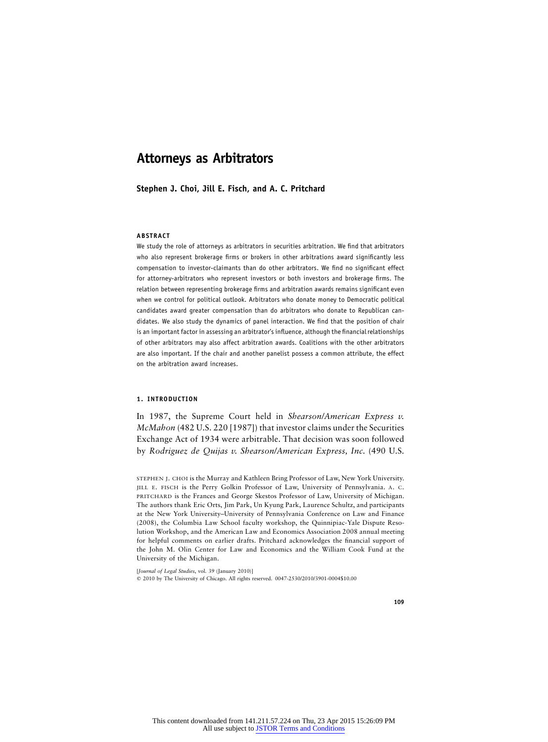## **Attorneys as Arbitrators**

**Stephen J. Choi, Jill E. Fisch, and A. C. Pritchard**

#### **ABSTRACT**

We study the role of attorneys as arbitrators in securities arbitration. We find that arbitrators who also represent brokerage firms or brokers in other arbitrations award significantly less compensation to investor-claimants than do other arbitrators. We find no significant effect for attorney-arbitrators who represent investors or both investors and brokerage firms. The relation between representing brokerage firms and arbitration awards remains significant even when we control for political outlook. Arbitrators who donate money to Democratic political candidates award greater compensation than do arbitrators who donate to Republican candidates. We also study the dynamics of panel interaction. We find that the position of chair is an important factor in assessing an arbitrator's influence, although the financial relationships of other arbitrators may also affect arbitration awards. Coalitions with the other arbitrators are also important. If the chair and another panelist possess a common attribute, the effect on the arbitration award increases.

#### **1. INTRODUCTION**

In 1987, the Supreme Court held in *Shearson/American Express v. McMahon* (482 U.S. 220 [1987]) that investor claims under the Securities Exchange Act of 1934 were arbitrable. That decision was soon followed by *Rodriguez de Quijas v. Shearson/American Express, Inc.* (490 U.S.

STEPHEN J. CHOI is the Murray and Kathleen Bring Professor of Law, New York University. JILL E. FISCH is the Perry Golkin Professor of Law, University of Pennsylvania. A. C. PRITCHARD is the Frances and George Skestos Professor of Law, University of Michigan. The authors thank Eric Orts, Jim Park, Un Kyung Park, Laurence Schultz, and participants at the New York University–University of Pennsylvania Conference on Law and Finance (2008), the Columbia Law School faculty workshop, the Quinnipiac-Yale Dispute Resolution Workshop, and the American Law and Economics Association 2008 annual meeting for helpful comments on earlier drafts. Pritchard acknowledges the financial support of the John M. Olin Center for Law and Economics and the William Cook Fund at the University of the Michigan.

[*Journal of Legal Studies*, vol. 39 (January 2010)] 2010 by The University of Chicago. All rights reserved. 0047-2530/2010/3901-0004\$10.00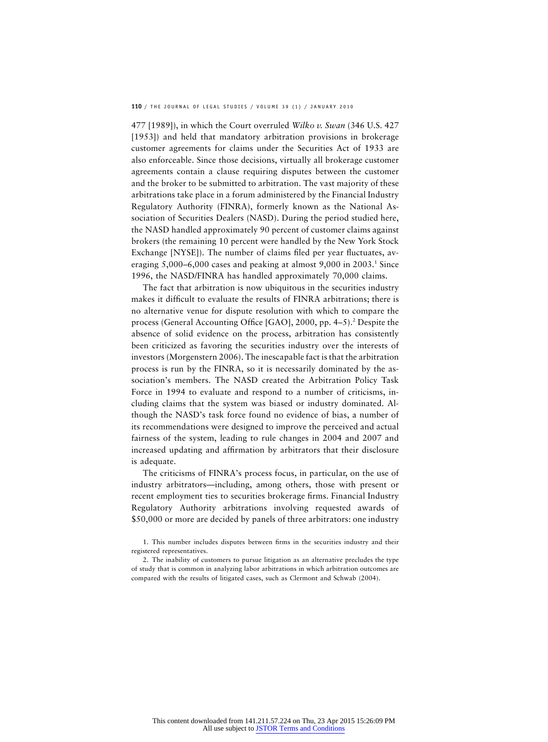477 [1989]), in which the Court overruled *Wilko v. Swan* (346 U.S. 427 [1953]) and held that mandatory arbitration provisions in brokerage customer agreements for claims under the Securities Act of 1933 are also enforceable. Since those decisions, virtually all brokerage customer agreements contain a clause requiring disputes between the customer and the broker to be submitted to arbitration. The vast majority of these arbitrations take place in a forum administered by the Financial Industry Regulatory Authority (FINRA), formerly known as the National Association of Securities Dealers (NASD). During the period studied here, the NASD handled approximately 90 percent of customer claims against brokers (the remaining 10 percent were handled by the New York Stock Exchange [NYSE]). The number of claims filed per year fluctuates, averaging  $5,000-6,000$  cases and peaking at almost  $9,000$  in  $2003.^1$  Since 1996, the NASD/FINRA has handled approximately 70,000 claims.

The fact that arbitration is now ubiquitous in the securities industry makes it difficult to evaluate the results of FINRA arbitrations; there is no alternative venue for dispute resolution with which to compare the process (General Accounting Office [GAO], 2000, pp. 4–5).<sup>2</sup> Despite the absence of solid evidence on the process, arbitration has consistently been criticized as favoring the securities industry over the interests of investors (Morgenstern 2006). The inescapable fact is that the arbitration process is run by the FINRA, so it is necessarily dominated by the association's members. The NASD created the Arbitration Policy Task Force in 1994 to evaluate and respond to a number of criticisms, including claims that the system was biased or industry dominated. Although the NASD's task force found no evidence of bias, a number of its recommendations were designed to improve the perceived and actual fairness of the system, leading to rule changes in 2004 and 2007 and increased updating and affirmation by arbitrators that their disclosure is adequate.

The criticisms of FINRA's process focus, in particular, on the use of industry arbitrators—including, among others, those with present or recent employment ties to securities brokerage firms. Financial Industry Regulatory Authority arbitrations involving requested awards of \$50,000 or more are decided by panels of three arbitrators: one industry

<sup>1.</sup> This number includes disputes between firms in the securities industry and their registered representatives.

<sup>2.</sup> The inability of customers to pursue litigation as an alternative precludes the type of study that is common in analyzing labor arbitrations in which arbitration outcomes are compared with the results of litigated cases, such as Clermont and Schwab (2004).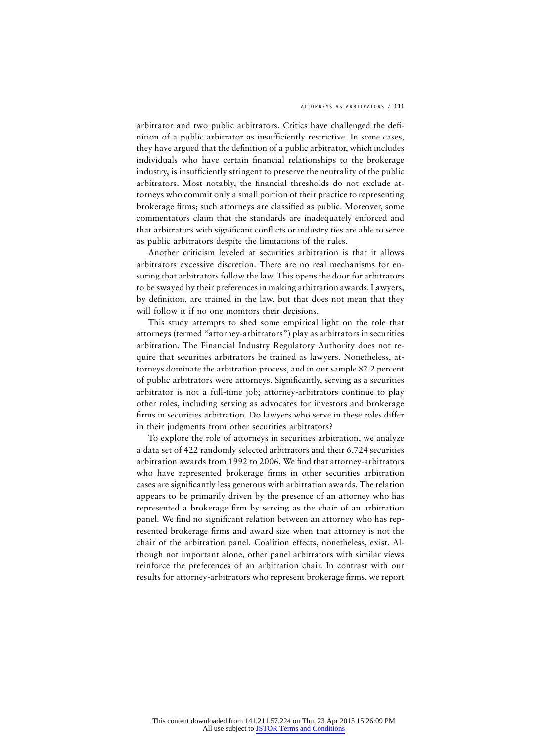arbitrator and two public arbitrators. Critics have challenged the definition of a public arbitrator as insufficiently restrictive. In some cases, they have argued that the definition of a public arbitrator, which includes individuals who have certain financial relationships to the brokerage industry, is insufficiently stringent to preserve the neutrality of the public arbitrators. Most notably, the financial thresholds do not exclude attorneys who commit only a small portion of their practice to representing brokerage firms; such attorneys are classified as public. Moreover, some commentators claim that the standards are inadequately enforced and that arbitrators with significant conflicts or industry ties are able to serve as public arbitrators despite the limitations of the rules.

Another criticism leveled at securities arbitration is that it allows arbitrators excessive discretion. There are no real mechanisms for ensuring that arbitrators follow the law. This opens the door for arbitrators to be swayed by their preferences in making arbitration awards. Lawyers, by definition, are trained in the law, but that does not mean that they will follow it if no one monitors their decisions.

This study attempts to shed some empirical light on the role that attorneys (termed "attorney-arbitrators") play as arbitrators in securities arbitration. The Financial Industry Regulatory Authority does not require that securities arbitrators be trained as lawyers. Nonetheless, attorneys dominate the arbitration process, and in our sample 82.2 percent of public arbitrators were attorneys. Significantly, serving as a securities arbitrator is not a full-time job; attorney-arbitrators continue to play other roles, including serving as advocates for investors and brokerage firms in securities arbitration. Do lawyers who serve in these roles differ in their judgments from other securities arbitrators?

To explore the role of attorneys in securities arbitration, we analyze a data set of 422 randomly selected arbitrators and their 6,724 securities arbitration awards from 1992 to 2006. We find that attorney-arbitrators who have represented brokerage firms in other securities arbitration cases are significantly less generous with arbitration awards. The relation appears to be primarily driven by the presence of an attorney who has represented a brokerage firm by serving as the chair of an arbitration panel. We find no significant relation between an attorney who has represented brokerage firms and award size when that attorney is not the chair of the arbitration panel. Coalition effects, nonetheless, exist. Although not important alone, other panel arbitrators with similar views reinforce the preferences of an arbitration chair. In contrast with our results for attorney-arbitrators who represent brokerage firms, we report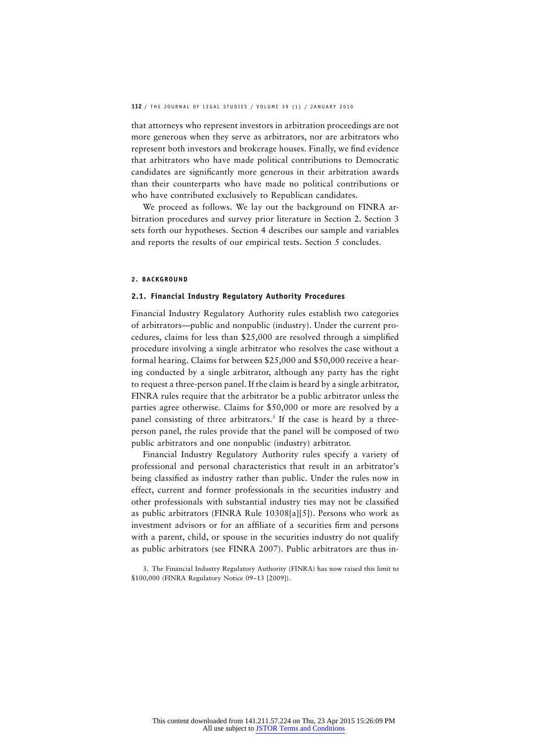that attorneys who represent investors in arbitration proceedings are not more generous when they serve as arbitrators, nor are arbitrators who represent both investors and brokerage houses. Finally, we find evidence that arbitrators who have made political contributions to Democratic candidates are significantly more generous in their arbitration awards than their counterparts who have made no political contributions or who have contributed exclusively to Republican candidates.

We proceed as follows. We lay out the background on FINRA arbitration procedures and survey prior literature in Section 2. Section 3 sets forth our hypotheses. Section 4 describes our sample and variables and reports the results of our empirical tests. Section 5 concludes.

#### **2. BACKGROUND**

#### **2.1. Financial Industry Regulatory Authority Procedures**

Financial Industry Regulatory Authority rules establish two categories of arbitrators—public and nonpublic (industry). Under the current procedures, claims for less than \$25,000 are resolved through a simplified procedure involving a single arbitrator who resolves the case without a formal hearing. Claims for between \$25,000 and \$50,000 receive a hearing conducted by a single arbitrator, although any party has the right to request a three-person panel. If the claim is heard by a single arbitrator, FINRA rules require that the arbitrator be a public arbitrator unless the parties agree otherwise. Claims for \$50,000 or more are resolved by a panel consisting of three arbitrators.<sup>3</sup> If the case is heard by a threeperson panel, the rules provide that the panel will be composed of two public arbitrators and one nonpublic (industry) arbitrator.

Financial Industry Regulatory Authority rules specify a variety of professional and personal characteristics that result in an arbitrator's being classified as industry rather than public. Under the rules now in effect, current and former professionals in the securities industry and other professionals with substantial industry ties may not be classified as public arbitrators (FINRA Rule 10308[a][5]). Persons who work as investment advisors or for an affiliate of a securities firm and persons with a parent, child, or spouse in the securities industry do not qualify as public arbitrators (see FINRA 2007). Public arbitrators are thus in-

<sup>3.</sup> The Financial Industry Regulatory Authority (FINRA) has now raised this limit to \$100,000 (FINRA Regulatory Notice 09–13 [2009]).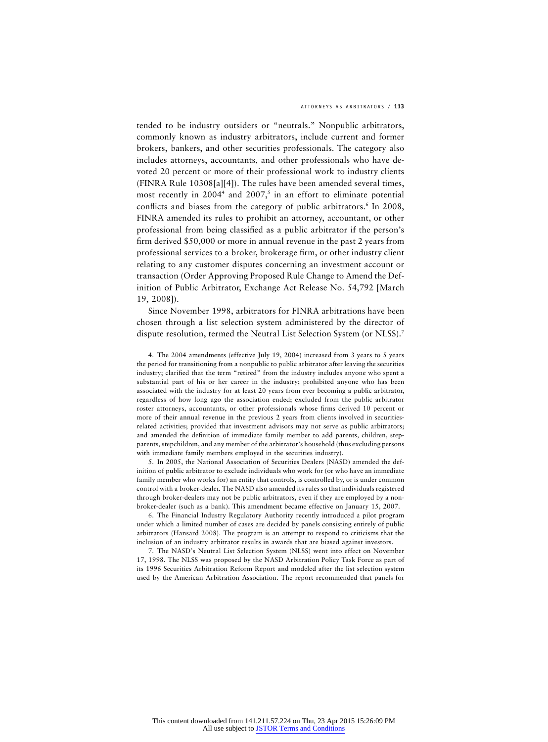tended to be industry outsiders or "neutrals." Nonpublic arbitrators, commonly known as industry arbitrators, include current and former brokers, bankers, and other securities professionals. The category also includes attorneys, accountants, and other professionals who have devoted 20 percent or more of their professional work to industry clients (FINRA Rule 10308[a][4]). The rules have been amended several times, most recently in  $2004<sup>4</sup>$  and  $2007<sup>5</sup>$  in an effort to eliminate potential conflicts and biases from the category of public arbitrators.<sup>6</sup> In 2008, FINRA amended its rules to prohibit an attorney, accountant, or other professional from being classified as a public arbitrator if the person's firm derived \$50,000 or more in annual revenue in the past 2 years from professional services to a broker, brokerage firm, or other industry client relating to any customer disputes concerning an investment account or transaction (Order Approving Proposed Rule Change to Amend the Definition of Public Arbitrator, Exchange Act Release No. 54,792 [March 19, 2008]).

Since November 1998, arbitrators for FINRA arbitrations have been chosen through a list selection system administered by the director of dispute resolution, termed the Neutral List Selection System (or NLSS).7

4. The 2004 amendments (effective July 19, 2004) increased from 3 years to 5 years the period for transitioning from a nonpublic to public arbitrator after leaving the securities industry; clarified that the term "retired" from the industry includes anyone who spent a substantial part of his or her career in the industry; prohibited anyone who has been associated with the industry for at least 20 years from ever becoming a public arbitrator, regardless of how long ago the association ended; excluded from the public arbitrator roster attorneys, accountants, or other professionals whose firms derived 10 percent or more of their annual revenue in the previous 2 years from clients involved in securitiesrelated activities; provided that investment advisors may not serve as public arbitrators; and amended the definition of immediate family member to add parents, children, stepparents, stepchildren, and any member of the arbitrator's household (thus excluding persons with immediate family members employed in the securities industry).

5. In 2005, the National Association of Securities Dealers (NASD) amended the definition of public arbitrator to exclude individuals who work for (or who have an immediate family member who works for) an entity that controls, is controlled by, or is under common control with a broker-dealer. The NASD also amended its rules so that individuals registered through broker-dealers may not be public arbitrators, even if they are employed by a nonbroker-dealer (such as a bank). This amendment became effective on January 15, 2007.

6. The Financial Industry Regulatory Authority recently introduced a pilot program under which a limited number of cases are decided by panels consisting entirely of public arbitrators (Hansard 2008). The program is an attempt to respond to criticisms that the inclusion of an industry arbitrator results in awards that are biased against investors.

7. The NASD's Neutral List Selection System (NLSS) went into effect on November 17, 1998. The NLSS was proposed by the NASD Arbitration Policy Task Force as part of its 1996 Securities Arbitration Reform Report and modeled after the list selection system used by the American Arbitration Association. The report recommended that panels for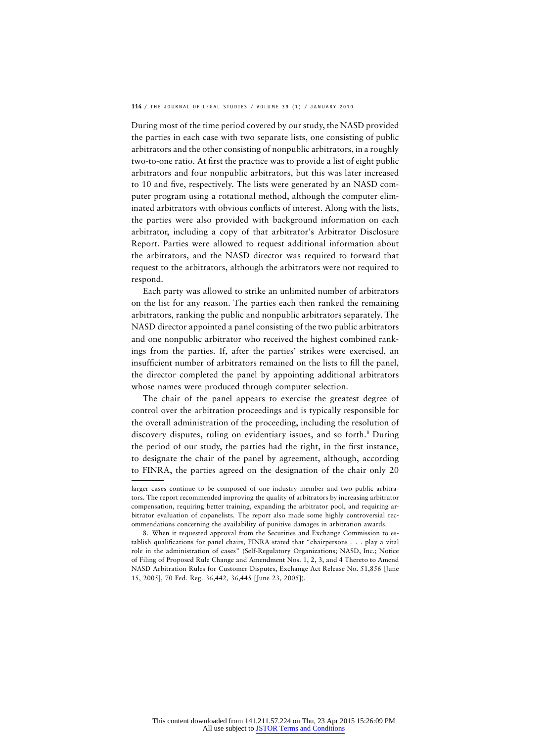During most of the time period covered by our study, the NASD provided the parties in each case with two separate lists, one consisting of public arbitrators and the other consisting of nonpublic arbitrators, in a roughly two-to-one ratio. At first the practice was to provide a list of eight public arbitrators and four nonpublic arbitrators, but this was later increased to 10 and five, respectively. The lists were generated by an NASD computer program using a rotational method, although the computer eliminated arbitrators with obvious conflicts of interest. Along with the lists, the parties were also provided with background information on each arbitrator, including a copy of that arbitrator's Arbitrator Disclosure Report. Parties were allowed to request additional information about the arbitrators, and the NASD director was required to forward that request to the arbitrators, although the arbitrators were not required to respond.

Each party was allowed to strike an unlimited number of arbitrators on the list for any reason. The parties each then ranked the remaining arbitrators, ranking the public and nonpublic arbitrators separately. The NASD director appointed a panel consisting of the two public arbitrators and one nonpublic arbitrator who received the highest combined rankings from the parties. If, after the parties' strikes were exercised, an insufficient number of arbitrators remained on the lists to fill the panel, the director completed the panel by appointing additional arbitrators whose names were produced through computer selection.

The chair of the panel appears to exercise the greatest degree of control over the arbitration proceedings and is typically responsible for the overall administration of the proceeding, including the resolution of discovery disputes, ruling on evidentiary issues, and so forth.<sup>8</sup> During the period of our study, the parties had the right, in the first instance, to designate the chair of the panel by agreement, although, according to FINRA, the parties agreed on the designation of the chair only 20

larger cases continue to be composed of one industry member and two public arbitrators. The report recommended improving the quality of arbitrators by increasing arbitrator compensation, requiring better training, expanding the arbitrator pool, and requiring arbitrator evaluation of copanelists. The report also made some highly controversial recommendations concerning the availability of punitive damages in arbitration awards.

<sup>8.</sup> When it requested approval from the Securities and Exchange Commission to establish qualifications for panel chairs, FINRA stated that "chairpersons . . . play a vital role in the administration of cases" (Self-Regulatory Organizations; NASD, Inc.; Notice of Filing of Proposed Rule Change and Amendment Nos. 1, 2, 3, and 4 Thereto to Amend NASD Arbitration Rules for Customer Disputes, Exchange Act Release No. 51,856 [June 15, 2005], 70 Fed. Reg. 36,442, 36,445 [June 23, 2005]).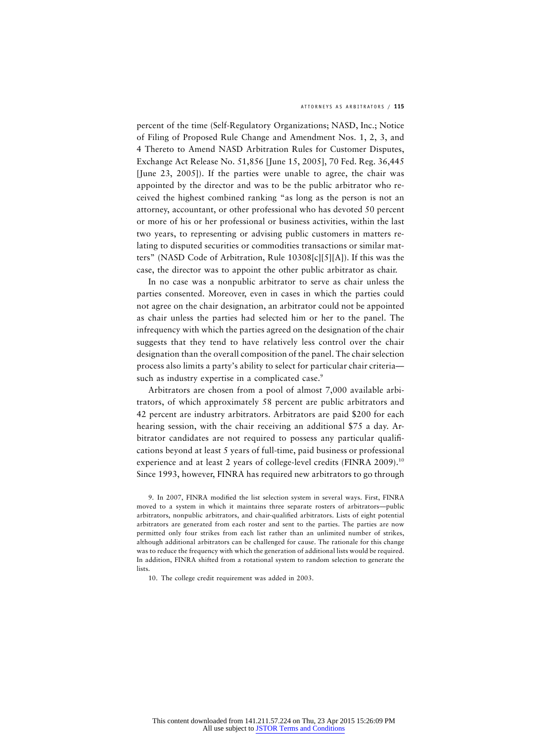percent of the time (Self-Regulatory Organizations; NASD, Inc.; Notice of Filing of Proposed Rule Change and Amendment Nos. 1, 2, 3, and 4 Thereto to Amend NASD Arbitration Rules for Customer Disputes, Exchange Act Release No. 51,856 [June 15, 2005], 70 Fed. Reg. 36,445 [June 23, 2005]). If the parties were unable to agree, the chair was appointed by the director and was to be the public arbitrator who received the highest combined ranking "as long as the person is not an attorney, accountant, or other professional who has devoted 50 percent or more of his or her professional or business activities, within the last two years, to representing or advising public customers in matters relating to disputed securities or commodities transactions or similar matters" (NASD Code of Arbitration, Rule 10308[c][5][A]). If this was the case, the director was to appoint the other public arbitrator as chair.

In no case was a nonpublic arbitrator to serve as chair unless the parties consented. Moreover, even in cases in which the parties could not agree on the chair designation, an arbitrator could not be appointed as chair unless the parties had selected him or her to the panel. The infrequency with which the parties agreed on the designation of the chair suggests that they tend to have relatively less control over the chair designation than the overall composition of the panel. The chair selection process also limits a party's ability to select for particular chair criteria such as industry expertise in a complicated case.<sup>9</sup>

Arbitrators are chosen from a pool of almost 7,000 available arbitrators, of which approximately 58 percent are public arbitrators and 42 percent are industry arbitrators. Arbitrators are paid \$200 for each hearing session, with the chair receiving an additional \$75 a day. Arbitrator candidates are not required to possess any particular qualifications beyond at least 5 years of full-time, paid business or professional experience and at least 2 years of college-level credits (FINRA 2009).<sup>10</sup> Since 1993, however, FINRA has required new arbitrators to go through

9. In 2007, FINRA modified the list selection system in several ways. First, FINRA moved to a system in which it maintains three separate rosters of arbitrators—public arbitrators, nonpublic arbitrators, and chair-qualified arbitrators. Lists of eight potential arbitrators are generated from each roster and sent to the parties. The parties are now permitted only four strikes from each list rather than an unlimited number of strikes, although additional arbitrators can be challenged for cause. The rationale for this change was to reduce the frequency with which the generation of additional lists would be required. In addition, FINRA shifted from a rotational system to random selection to generate the lists.

10. The college credit requirement was added in 2003.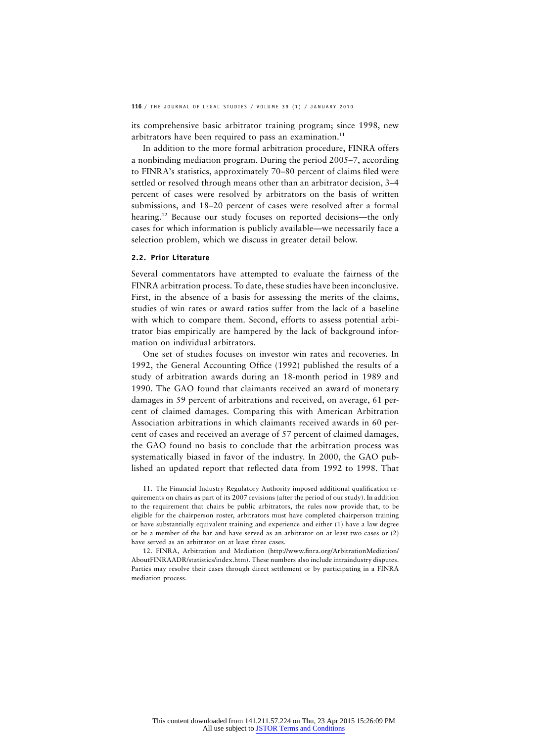its comprehensive basic arbitrator training program; since 1998, new arbitrators have been required to pass an examination.<sup>11</sup>

In addition to the more formal arbitration procedure, FINRA offers a nonbinding mediation program. During the period 2005–7, according to FINRA's statistics, approximately 70–80 percent of claims filed were settled or resolved through means other than an arbitrator decision, 3–4 percent of cases were resolved by arbitrators on the basis of written submissions, and 18–20 percent of cases were resolved after a formal hearing.<sup>12</sup> Because our study focuses on reported decisions—the only cases for which information is publicly available—we necessarily face a selection problem, which we discuss in greater detail below.

#### **2.2. Prior Literature**

Several commentators have attempted to evaluate the fairness of the FINRA arbitration process. To date, these studies have been inconclusive. First, in the absence of a basis for assessing the merits of the claims, studies of win rates or award ratios suffer from the lack of a baseline with which to compare them. Second, efforts to assess potential arbitrator bias empirically are hampered by the lack of background information on individual arbitrators.

One set of studies focuses on investor win rates and recoveries. In 1992, the General Accounting Office (1992) published the results of a study of arbitration awards during an 18-month period in 1989 and 1990. The GAO found that claimants received an award of monetary damages in 59 percent of arbitrations and received, on average, 61 percent of claimed damages. Comparing this with American Arbitration Association arbitrations in which claimants received awards in 60 percent of cases and received an average of 57 percent of claimed damages, the GAO found no basis to conclude that the arbitration process was systematically biased in favor of the industry. In 2000, the GAO published an updated report that reflected data from 1992 to 1998. That

11. The Financial Industry Regulatory Authority imposed additional qualification requirements on chairs as part of its 2007 revisions (after the period of our study). In addition to the requirement that chairs be public arbitrators, the rules now provide that, to be eligible for the chairperson roster, arbitrators must have completed chairperson training or have substantially equivalent training and experience and either (1) have a law degree or be a member of the bar and have served as an arbitrator on at least two cases or (2) have served as an arbitrator on at least three cases.

12. FINRA, Arbitration and Mediation (http://www.finra.org/ArbitrationMediation/ AboutFINRAADR/statistics/index.htm). These numbers also include intraindustry disputes. Parties may resolve their cases through direct settlement or by participating in a FINRA mediation process.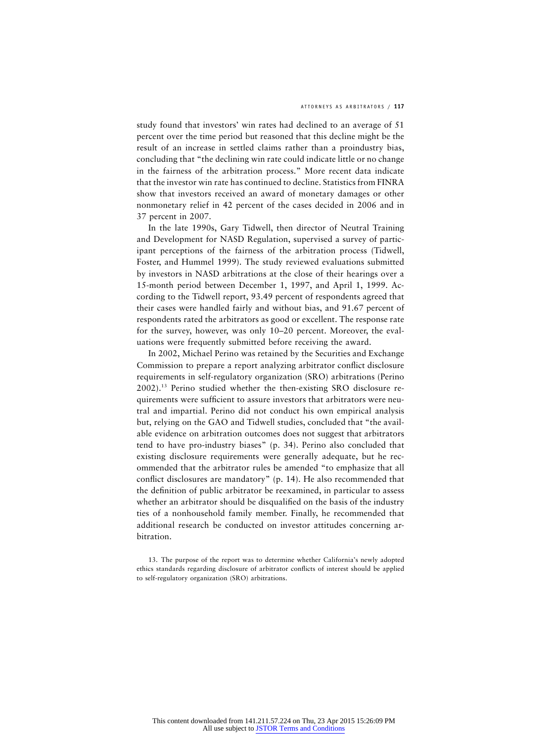study found that investors' win rates had declined to an average of 51 percent over the time period but reasoned that this decline might be the result of an increase in settled claims rather than a proindustry bias, concluding that "the declining win rate could indicate little or no change in the fairness of the arbitration process." More recent data indicate that the investor win rate has continued to decline. Statistics from FINRA show that investors received an award of monetary damages or other nonmonetary relief in 42 percent of the cases decided in 2006 and in 37 percent in 2007.

In the late 1990s, Gary Tidwell, then director of Neutral Training and Development for NASD Regulation, supervised a survey of participant perceptions of the fairness of the arbitration process (Tidwell, Foster, and Hummel 1999). The study reviewed evaluations submitted by investors in NASD arbitrations at the close of their hearings over a 15-month period between December 1, 1997, and April 1, 1999. According to the Tidwell report, 93.49 percent of respondents agreed that their cases were handled fairly and without bias, and 91.67 percent of respondents rated the arbitrators as good or excellent. The response rate for the survey, however, was only 10–20 percent. Moreover, the evaluations were frequently submitted before receiving the award.

In 2002, Michael Perino was retained by the Securities and Exchange Commission to prepare a report analyzing arbitrator conflict disclosure requirements in self-regulatory organization (SRO) arbitrations (Perino 2002).13 Perino studied whether the then-existing SRO disclosure requirements were sufficient to assure investors that arbitrators were neutral and impartial. Perino did not conduct his own empirical analysis but, relying on the GAO and Tidwell studies, concluded that "the available evidence on arbitration outcomes does not suggest that arbitrators tend to have pro-industry biases" (p. 34). Perino also concluded that existing disclosure requirements were generally adequate, but he recommended that the arbitrator rules be amended "to emphasize that all conflict disclosures are mandatory" (p. 14). He also recommended that the definition of public arbitrator be reexamined, in particular to assess whether an arbitrator should be disqualified on the basis of the industry ties of a nonhousehold family member. Finally, he recommended that additional research be conducted on investor attitudes concerning arbitration.

<sup>13.</sup> The purpose of the report was to determine whether California's newly adopted ethics standards regarding disclosure of arbitrator conflicts of interest should be applied to self-regulatory organization (SRO) arbitrations.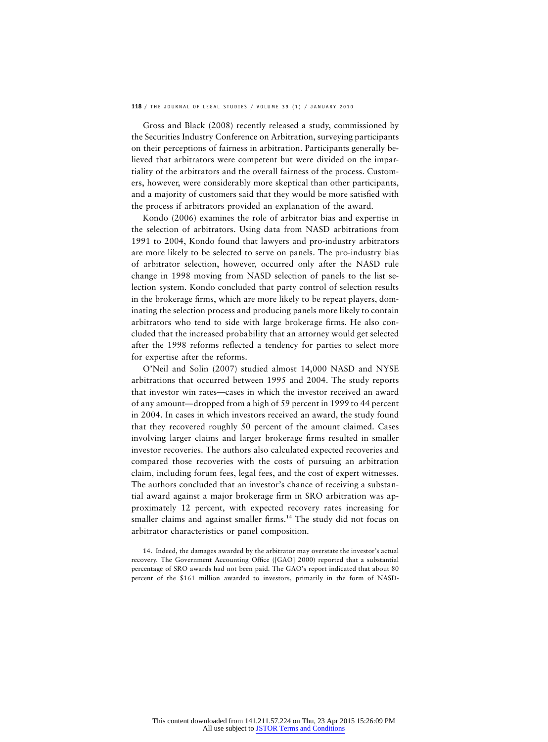Gross and Black (2008) recently released a study, commissioned by the Securities Industry Conference on Arbitration, surveying participants on their perceptions of fairness in arbitration. Participants generally believed that arbitrators were competent but were divided on the impartiality of the arbitrators and the overall fairness of the process. Customers, however, were considerably more skeptical than other participants, and a majority of customers said that they would be more satisfied with the process if arbitrators provided an explanation of the award.

Kondo (2006) examines the role of arbitrator bias and expertise in the selection of arbitrators. Using data from NASD arbitrations from 1991 to 2004, Kondo found that lawyers and pro-industry arbitrators are more likely to be selected to serve on panels. The pro-industry bias of arbitrator selection, however, occurred only after the NASD rule change in 1998 moving from NASD selection of panels to the list selection system. Kondo concluded that party control of selection results in the brokerage firms, which are more likely to be repeat players, dominating the selection process and producing panels more likely to contain arbitrators who tend to side with large brokerage firms. He also concluded that the increased probability that an attorney would get selected after the 1998 reforms reflected a tendency for parties to select more for expertise after the reforms.

O'Neil and Solin (2007) studied almost 14,000 NASD and NYSE arbitrations that occurred between 1995 and 2004. The study reports that investor win rates—cases in which the investor received an award of any amount—dropped from a high of 59 percent in 1999 to 44 percent in 2004. In cases in which investors received an award, the study found that they recovered roughly 50 percent of the amount claimed. Cases involving larger claims and larger brokerage firms resulted in smaller investor recoveries. The authors also calculated expected recoveries and compared those recoveries with the costs of pursuing an arbitration claim, including forum fees, legal fees, and the cost of expert witnesses. The authors concluded that an investor's chance of receiving a substantial award against a major brokerage firm in SRO arbitration was approximately 12 percent, with expected recovery rates increasing for smaller claims and against smaller firms.<sup>14</sup> The study did not focus on arbitrator characteristics or panel composition.

14. Indeed, the damages awarded by the arbitrator may overstate the investor's actual recovery. The Government Accounting Office ([GAO] 2000) reported that a substantial percentage of SRO awards had not been paid. The GAO's report indicated that about 80 percent of the \$161 million awarded to investors, primarily in the form of NASD-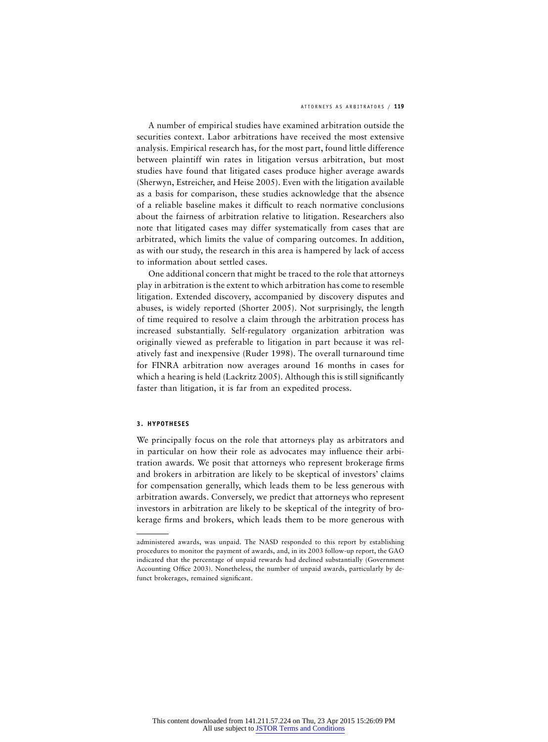#### ATTORNEYS AS ARBITRATORS / **119**

A number of empirical studies have examined arbitration outside the securities context. Labor arbitrations have received the most extensive analysis. Empirical research has, for the most part, found little difference between plaintiff win rates in litigation versus arbitration, but most studies have found that litigated cases produce higher average awards (Sherwyn, Estreicher, and Heise 2005). Even with the litigation available as a basis for comparison, these studies acknowledge that the absence of a reliable baseline makes it difficult to reach normative conclusions about the fairness of arbitration relative to litigation. Researchers also note that litigated cases may differ systematically from cases that are arbitrated, which limits the value of comparing outcomes. In addition, as with our study, the research in this area is hampered by lack of access to information about settled cases.

One additional concern that might be traced to the role that attorneys play in arbitration is the extent to which arbitration has come to resemble litigation. Extended discovery, accompanied by discovery disputes and abuses, is widely reported (Shorter 2005). Not surprisingly, the length of time required to resolve a claim through the arbitration process has increased substantially. Self-regulatory organization arbitration was originally viewed as preferable to litigation in part because it was relatively fast and inexpensive (Ruder 1998). The overall turnaround time for FINRA arbitration now averages around 16 months in cases for which a hearing is held (Lackritz 2005). Although this is still significantly faster than litigation, it is far from an expedited process.

#### **3. HYPOTHESES**

We principally focus on the role that attorneys play as arbitrators and in particular on how their role as advocates may influence their arbitration awards. We posit that attorneys who represent brokerage firms and brokers in arbitration are likely to be skeptical of investors' claims for compensation generally, which leads them to be less generous with arbitration awards. Conversely, we predict that attorneys who represent investors in arbitration are likely to be skeptical of the integrity of brokerage firms and brokers, which leads them to be more generous with

administered awards, was unpaid. The NASD responded to this report by establishing procedures to monitor the payment of awards, and, in its 2003 follow-up report, the GAO indicated that the percentage of unpaid rewards had declined substantially (Government Accounting Office 2003). Nonetheless, the number of unpaid awards, particularly by defunct brokerages, remained significant.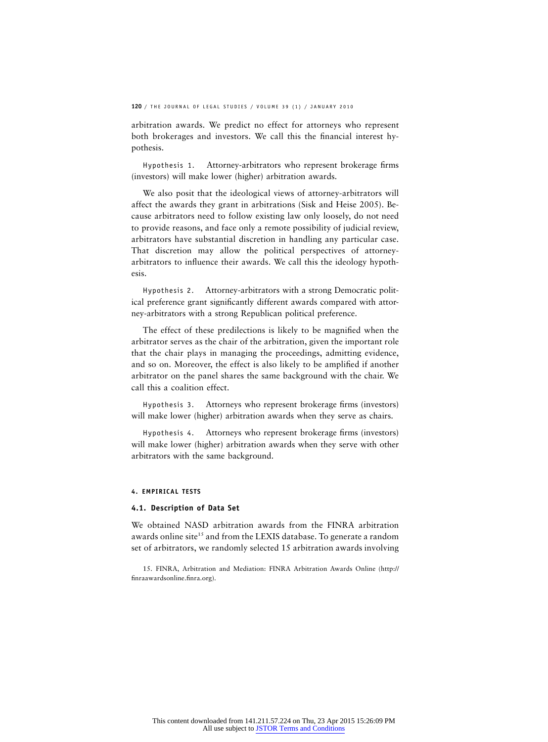arbitration awards. We predict no effect for attorneys who represent both brokerages and investors. We call this the financial interest hypothesis.

Hypothesis 1. Attorney-arbitrators who represent brokerage firms (investors) will make lower (higher) arbitration awards.

We also posit that the ideological views of attorney-arbitrators will affect the awards they grant in arbitrations (Sisk and Heise 2005). Because arbitrators need to follow existing law only loosely, do not need to provide reasons, and face only a remote possibility of judicial review, arbitrators have substantial discretion in handling any particular case. That discretion may allow the political perspectives of attorneyarbitrators to influence their awards. We call this the ideology hypothesis.

Hypothesis 2. Attorney-arbitrators with a strong Democratic political preference grant significantly different awards compared with attorney-arbitrators with a strong Republican political preference.

The effect of these predilections is likely to be magnified when the arbitrator serves as the chair of the arbitration, given the important role that the chair plays in managing the proceedings, admitting evidence, and so on. Moreover, the effect is also likely to be amplified if another arbitrator on the panel shares the same background with the chair. We call this a coalition effect.

Hypothesis 3. Attorneys who represent brokerage firms (investors) will make lower (higher) arbitration awards when they serve as chairs.

Hypothesis 4. Attorneys who represent brokerage firms (investors) will make lower (higher) arbitration awards when they serve with other arbitrators with the same background.

#### **4. EMPIRICAL TESTS**

#### **4.1. Description of Data Set**

We obtained NASD arbitration awards from the FINRA arbitration awards online site<sup>15</sup> and from the LEXIS database. To generate a random set of arbitrators, we randomly selected 15 arbitration awards involving

<sup>15.</sup> FINRA, Arbitration and Mediation: FINRA Arbitration Awards Online (http:// finraawardsonline.finra.org).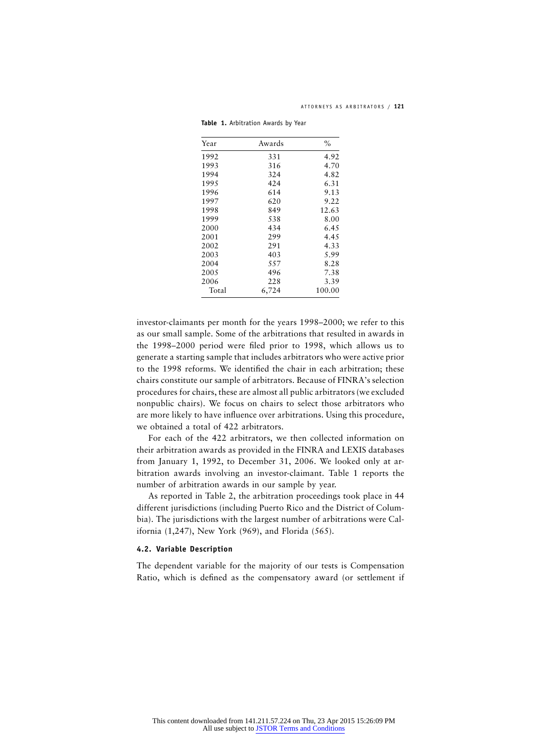| Year  | Awards | $\%$   |
|-------|--------|--------|
| 1992  | 331    | 4.92   |
| 1993  | 316    | 4.70   |
| 1994  | 324    | 4.82   |
| 1995  | 424    | 6.31   |
| 1996  | 614    | 9.13   |
| 1997  | 620    | 9.22   |
| 1998  | 849    | 12.63  |
| 1999  | 538    | 8.00   |
| 2000  | 434    | 6.45   |
| 2001  | 299    | 4.45   |
| 2002  | 291    | 4.33   |
| 2003  | 403    | 5.99   |
| 2004  | 557    | 8.28   |
| 2005  | 496    | 7.38   |
| 2006  | 228    | 3.39   |
| Total | 6,724  | 100.00 |

**Table 1.** Arbitration Awards by Year

investor-claimants per month for the years 1998–2000; we refer to this as our small sample. Some of the arbitrations that resulted in awards in the 1998–2000 period were filed prior to 1998, which allows us to generate a starting sample that includes arbitrators who were active prior to the 1998 reforms. We identified the chair in each arbitration; these chairs constitute our sample of arbitrators. Because of FINRA's selection procedures for chairs, these are almost all public arbitrators (we excluded nonpublic chairs). We focus on chairs to select those arbitrators who are more likely to have influence over arbitrations. Using this procedure, we obtained a total of 422 arbitrators.

For each of the 422 arbitrators, we then collected information on their arbitration awards as provided in the FINRA and LEXIS databases from January 1, 1992, to December 31, 2006. We looked only at arbitration awards involving an investor-claimant. Table 1 reports the number of arbitration awards in our sample by year.

As reported in Table 2, the arbitration proceedings took place in 44 different jurisdictions (including Puerto Rico and the District of Columbia). The jurisdictions with the largest number of arbitrations were California (1,247), New York (969), and Florida (565).

#### **4.2. Variable Description**

The dependent variable for the majority of our tests is Compensation Ratio, which is defined as the compensatory award (or settlement if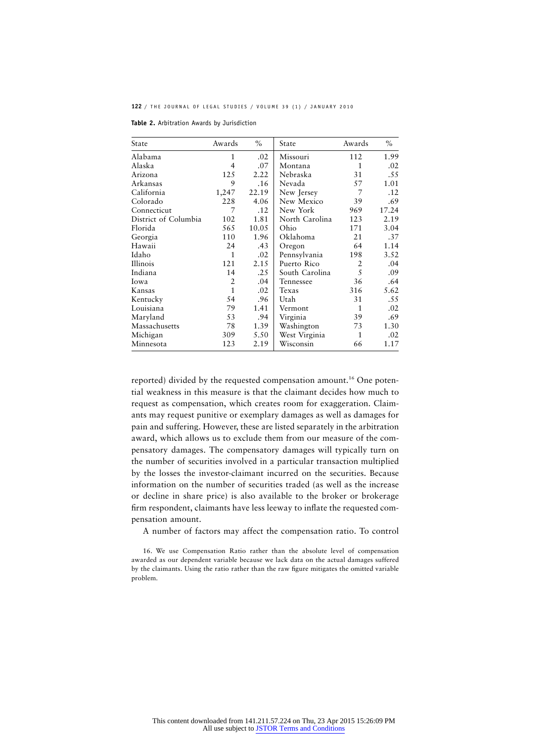**Table 2.** Arbitration Awards by Jurisdiction

| State                | Awards         | $\%$  | State          | Awards       | $\%$  |
|----------------------|----------------|-------|----------------|--------------|-------|
| Alabama              | $\mathbf{1}$   | .02   | Missouri       | 112          | 1.99  |
| Alaska               | $\overline{4}$ | .07   | Montana        | 1            | .02   |
| Arizona              | 125            | 2.22  | Nebraska       | 31           | .55   |
| Arkansas             | 9              | .16   | Nevada         | 57           | 1.01  |
| California           | 1,247          | 22.19 | New Jersey     | 7            | .12   |
| Colorado             | 228            | 4.06  | New Mexico     | 39           | .69   |
| Connecticut          | 7              | .12   | New York       | 969          | 17.24 |
| District of Columbia | 102            | 1.81  | North Carolina | 123          | 2.19  |
| Florida              | 565            | 10.05 | Ohio           | 171          | 3.04  |
| Georgia              | 110            | 1.96  | Oklahoma       | 21           | .37   |
| Hawaii               | 24             | .43   | Oregon         | 64           | 1.14  |
| Idaho                | $\mathbf{1}$   | .02   | Pennsylvania   | 198          | 3.52  |
| Illinois             | 121            | 2.15  | Puerto Rico    | 2            | .04   |
| Indiana              | 14             | .25   | South Carolina | 5            | .09   |
| Iowa                 | $\overline{2}$ | .04   | Tennessee      | 36           | .64   |
| Kansas               | $\mathbf{1}$   | .02   | Texas          | 316          | 5.62  |
| Kentucky             | 54             | .96   | Utah           | 31           | .55   |
| Louisiana            | 79             | 1.41  | Vermont        | 1            | .02   |
| Maryland             | 53             | .94   | Virginia       | 39           | .69   |
| Massachusetts        | 78             | 1.39  | Washington     | 73           | 1.30  |
| Michigan             | 309            | 5.50  | West Virginia  | $\mathbf{1}$ | .02   |
| Minnesota            | 123            | 2.19  | Wisconsin      | 66           | 1.17  |

reported) divided by the requested compensation amount.<sup>16</sup> One potential weakness in this measure is that the claimant decides how much to request as compensation, which creates room for exaggeration. Claimants may request punitive or exemplary damages as well as damages for pain and suffering. However, these are listed separately in the arbitration award, which allows us to exclude them from our measure of the compensatory damages. The compensatory damages will typically turn on the number of securities involved in a particular transaction multiplied by the losses the investor-claimant incurred on the securities. Because information on the number of securities traded (as well as the increase or decline in share price) is also available to the broker or brokerage firm respondent, claimants have less leeway to inflate the requested compensation amount.

A number of factors may affect the compensation ratio. To control

<sup>16.</sup> We use Compensation Ratio rather than the absolute level of compensation awarded as our dependent variable because we lack data on the actual damages suffered by the claimants. Using the ratio rather than the raw figure mitigates the omitted variable problem.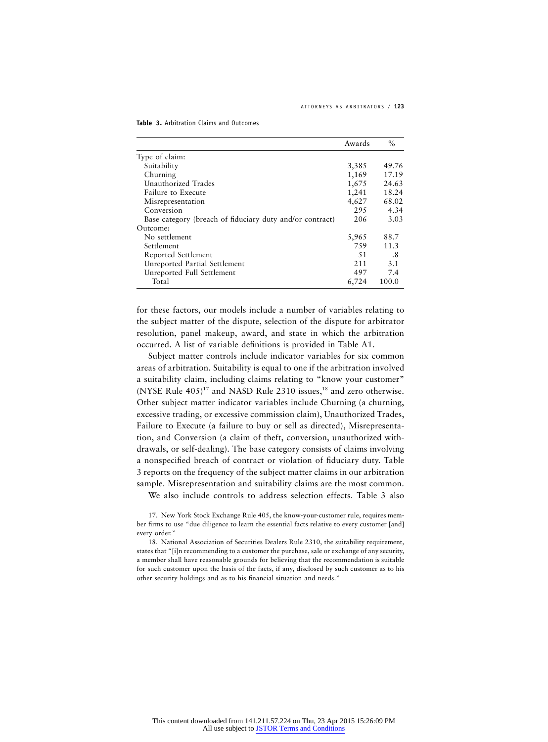| Table 3. Arbitration Claims and Outcomes |
|------------------------------------------|
|                                          |

|                                                          | Awards | $\%$  |
|----------------------------------------------------------|--------|-------|
| Type of claim:                                           |        |       |
| Suitability                                              | 3,385  | 49.76 |
| Churning                                                 | 1,169  | 17.19 |
| Unauthorized Trades                                      | 1,675  | 24.63 |
| Failure to Execute                                       | 1,241  | 18.24 |
| Misrepresentation                                        | 4,627  | 68.02 |
| Conversion                                               | 295    | 4.34  |
| Base category (breach of fiduciary duty and/or contract) | 206    | 3.03  |
| Outcome:                                                 |        |       |
| No settlement                                            | 5,965  | 88.7  |
| Settlement                                               | 759    | 11.3  |
| Reported Settlement                                      | 51     | .8    |
| Unreported Partial Settlement                            | 211    | 3.1   |
| Unreported Full Settlement                               | 497    | 7.4   |
| Total                                                    | 6,724  | 100.0 |

for these factors, our models include a number of variables relating to the subject matter of the dispute, selection of the dispute for arbitrator resolution, panel makeup, award, and state in which the arbitration occurred. A list of variable definitions is provided in Table A1.

Subject matter controls include indicator variables for six common areas of arbitration. Suitability is equal to one if the arbitration involved a suitability claim, including claims relating to "know your customer" (NYSE Rule  $405$ )<sup>17</sup> and NASD Rule 2310 issues,<sup>18</sup> and zero otherwise. Other subject matter indicator variables include Churning (a churning, excessive trading, or excessive commission claim), Unauthorized Trades, Failure to Execute (a failure to buy or sell as directed), Misrepresentation, and Conversion (a claim of theft, conversion, unauthorized withdrawals, or self-dealing). The base category consists of claims involving a nonspecified breach of contract or violation of fiduciary duty. Table 3 reports on the frequency of the subject matter claims in our arbitration sample. Misrepresentation and suitability claims are the most common.

We also include controls to address selection effects. Table 3 also

<sup>17.</sup> New York Stock Exchange Rule 405, the know-your-customer rule, requires member firms to use "due diligence to learn the essential facts relative to every customer [and] every order."

<sup>18.</sup> National Association of Securities Dealers Rule 2310, the suitability requirement, states that "[i]n recommending to a customer the purchase, sale or exchange of any security, a member shall have reasonable grounds for believing that the recommendation is suitable for such customer upon the basis of the facts, if any, disclosed by such customer as to his other security holdings and as to his financial situation and needs."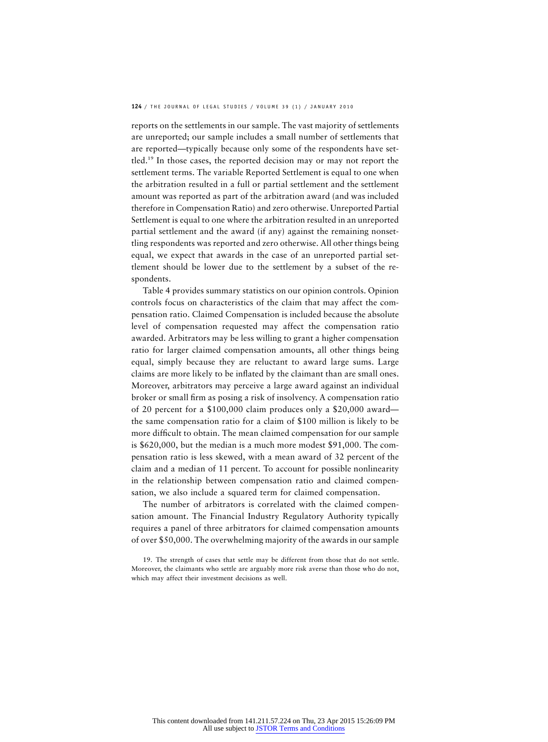reports on the settlements in our sample. The vast majority of settlements are unreported; our sample includes a small number of settlements that are reported—typically because only some of the respondents have settled.19 In those cases, the reported decision may or may not report the settlement terms. The variable Reported Settlement is equal to one when the arbitration resulted in a full or partial settlement and the settlement amount was reported as part of the arbitration award (and was included therefore in Compensation Ratio) and zero otherwise. Unreported Partial Settlement is equal to one where the arbitration resulted in an unreported partial settlement and the award (if any) against the remaining nonsettling respondents was reported and zero otherwise. All other things being equal, we expect that awards in the case of an unreported partial settlement should be lower due to the settlement by a subset of the respondents.

Table 4 provides summary statistics on our opinion controls. Opinion controls focus on characteristics of the claim that may affect the compensation ratio. Claimed Compensation is included because the absolute level of compensation requested may affect the compensation ratio awarded. Arbitrators may be less willing to grant a higher compensation ratio for larger claimed compensation amounts, all other things being equal, simply because they are reluctant to award large sums. Large claims are more likely to be inflated by the claimant than are small ones. Moreover, arbitrators may perceive a large award against an individual broker or small firm as posing a risk of insolvency. A compensation ratio of 20 percent for a \$100,000 claim produces only a \$20,000 award the same compensation ratio for a claim of \$100 million is likely to be more difficult to obtain. The mean claimed compensation for our sample is \$620,000, but the median is a much more modest \$91,000. The compensation ratio is less skewed, with a mean award of 32 percent of the claim and a median of 11 percent. To account for possible nonlinearity in the relationship between compensation ratio and claimed compensation, we also include a squared term for claimed compensation.

The number of arbitrators is correlated with the claimed compensation amount. The Financial Industry Regulatory Authority typically requires a panel of three arbitrators for claimed compensation amounts of over \$50,000. The overwhelming majority of the awards in our sample

<sup>19.</sup> The strength of cases that settle may be different from those that do not settle. Moreover, the claimants who settle are arguably more risk averse than those who do not, which may affect their investment decisions as well.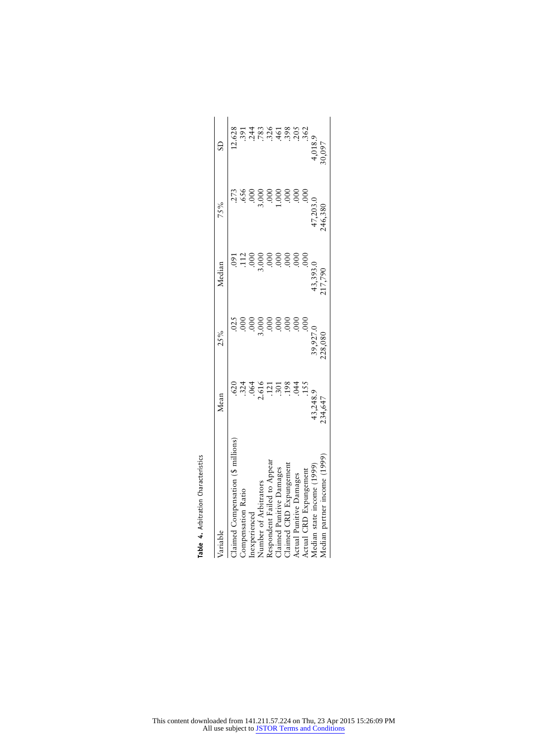| Variable                          | Mean                    | 25%                 | Median              | 75%                 | S                   |
|-----------------------------------|-------------------------|---------------------|---------------------|---------------------|---------------------|
| Claimed Compensation (\$ millions | .620                    | .02 <sup>5</sup>    | $.60^{\circ}$       | .273                | 12.628              |
| Compensation Ratio                |                         |                     |                     | 656                 |                     |
| In expected                       | 324<br>34               | 00.                 |                     | ρχ                  | $391$<br>$244$      |
| Number of Arbitrators             | 2.616                   | 3.000               |                     | 3.000               | .783                |
| Respondent Failed to Appear       | $\frac{1}{2}$           |                     |                     |                     |                     |
| Claimed Punitive Damages          | $\ddot{.}30^\circ$      |                     | .005                | 00.1                |                     |
| laimed CRD Expungement            | .198                    | .00C                | 00 <sub>c</sub>     | 000                 |                     |
| Actual Punitive Damages           | .044                    | 000                 | .000                | 00 <sub>c</sub>     | 31638<br>3439382    |
| Actual CRD Expungement            | .15 <sup>5</sup>        | 000.                | .00 <sub>c</sub>    | 000                 |                     |
| Median state income (1999)        |                         |                     |                     |                     |                     |
| Aedian partner income (1999       | $43,248.9$<br>$234,647$ | 39,927.0<br>228,080 | 43,393.0<br>217,790 | 47,203.0<br>246,380 | $4,018.9$<br>30,097 |

Table 4. Arbitration Characteristics **Table 4.** Arbitration Characteristics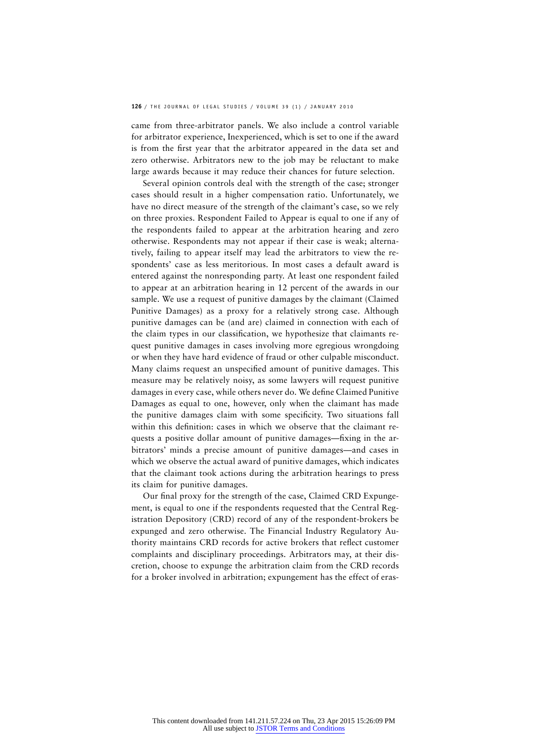came from three-arbitrator panels. We also include a control variable for arbitrator experience, Inexperienced, which is set to one if the award is from the first year that the arbitrator appeared in the data set and zero otherwise. Arbitrators new to the job may be reluctant to make large awards because it may reduce their chances for future selection.

Several opinion controls deal with the strength of the case; stronger cases should result in a higher compensation ratio. Unfortunately, we have no direct measure of the strength of the claimant's case, so we rely on three proxies. Respondent Failed to Appear is equal to one if any of the respondents failed to appear at the arbitration hearing and zero otherwise. Respondents may not appear if their case is weak; alternatively, failing to appear itself may lead the arbitrators to view the respondents' case as less meritorious. In most cases a default award is entered against the nonresponding party. At least one respondent failed to appear at an arbitration hearing in 12 percent of the awards in our sample. We use a request of punitive damages by the claimant (Claimed Punitive Damages) as a proxy for a relatively strong case. Although punitive damages can be (and are) claimed in connection with each of the claim types in our classification, we hypothesize that claimants request punitive damages in cases involving more egregious wrongdoing or when they have hard evidence of fraud or other culpable misconduct. Many claims request an unspecified amount of punitive damages. This measure may be relatively noisy, as some lawyers will request punitive damages in every case, while others never do. We define Claimed Punitive Damages as equal to one, however, only when the claimant has made the punitive damages claim with some specificity. Two situations fall within this definition: cases in which we observe that the claimant requests a positive dollar amount of punitive damages—fixing in the arbitrators' minds a precise amount of punitive damages—and cases in which we observe the actual award of punitive damages, which indicates that the claimant took actions during the arbitration hearings to press its claim for punitive damages.

Our final proxy for the strength of the case, Claimed CRD Expungement, is equal to one if the respondents requested that the Central Registration Depository (CRD) record of any of the respondent-brokers be expunged and zero otherwise. The Financial Industry Regulatory Authority maintains CRD records for active brokers that reflect customer complaints and disciplinary proceedings. Arbitrators may, at their discretion, choose to expunge the arbitration claim from the CRD records for a broker involved in arbitration; expungement has the effect of eras-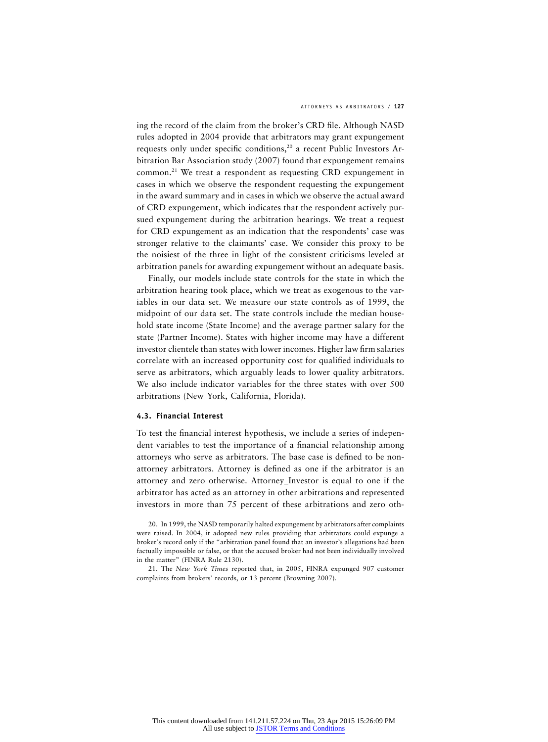#### ATTORNEYS AS ARBITRATORS / **127**

ing the record of the claim from the broker's CRD file. Although NASD rules adopted in 2004 provide that arbitrators may grant expungement requests only under specific conditions,<sup>20</sup> a recent Public Investors Arbitration Bar Association study (2007) found that expungement remains common.21 We treat a respondent as requesting CRD expungement in cases in which we observe the respondent requesting the expungement in the award summary and in cases in which we observe the actual award of CRD expungement, which indicates that the respondent actively pursued expungement during the arbitration hearings. We treat a request for CRD expungement as an indication that the respondents' case was stronger relative to the claimants' case. We consider this proxy to be the noisiest of the three in light of the consistent criticisms leveled at arbitration panels for awarding expungement without an adequate basis.

Finally, our models include state controls for the state in which the arbitration hearing took place, which we treat as exogenous to the variables in our data set. We measure our state controls as of 1999, the midpoint of our data set. The state controls include the median household state income (State Income) and the average partner salary for the state (Partner Income). States with higher income may have a different investor clientele than states with lower incomes. Higher law firm salaries correlate with an increased opportunity cost for qualified individuals to serve as arbitrators, which arguably leads to lower quality arbitrators. We also include indicator variables for the three states with over 500 arbitrations (New York, California, Florida).

#### **4.3. Financial Interest**

To test the financial interest hypothesis, we include a series of independent variables to test the importance of a financial relationship among attorneys who serve as arbitrators. The base case is defined to be nonattorney arbitrators. Attorney is defined as one if the arbitrator is an attorney and zero otherwise. Attorney\_Investor is equal to one if the arbitrator has acted as an attorney in other arbitrations and represented investors in more than 75 percent of these arbitrations and zero oth-

<sup>20.</sup> In 1999, the NASD temporarily halted expungement by arbitrators after complaints were raised. In 2004, it adopted new rules providing that arbitrators could expunge a broker's record only if the "arbitration panel found that an investor's allegations had been factually impossible or false, or that the accused broker had not been individually involved in the matter" (FINRA Rule 2130).

<sup>21.</sup> The *New York Times* reported that, in 2005, FINRA expunged 907 customer complaints from brokers' records, or 13 percent (Browning 2007).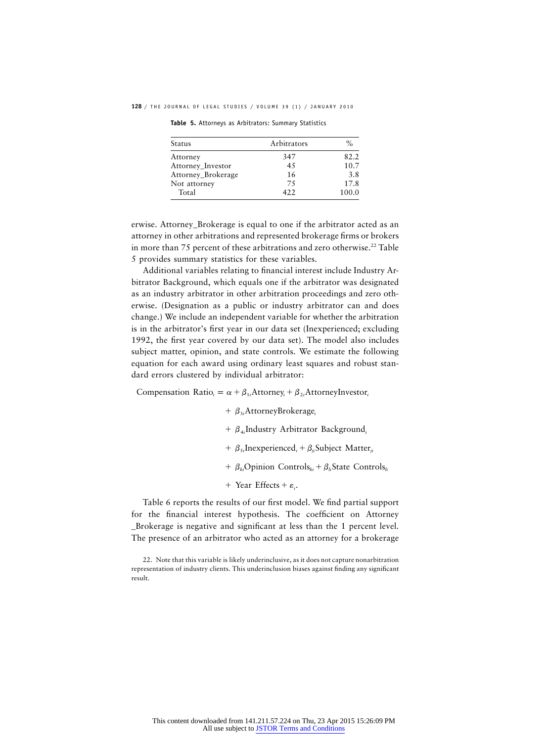**128** / THE JOURNAL OF LEGAL STUDIES / VOLUME 39 (1) / JANUARY 2010

**Table 5.** Attorneys as Arbitrators: Summary Statistics

| Status             | Arbitrators | $\%$  |
|--------------------|-------------|-------|
| Attorney           | 347         | 82.2  |
| Attorney_Investor  | 45          | 10.7  |
| Attorney_Brokerage | 16          | 3.8   |
| Not attorney       | 75          | 17.8  |
| Total              | 422         | 100.0 |

erwise. Attorney\_Brokerage is equal to one if the arbitrator acted as an attorney in other arbitrations and represented brokerage firms or brokers in more than 75 percent of these arbitrations and zero otherwise.<sup>22</sup> Table 5 provides summary statistics for these variables.

Additional variables relating to financial interest include Industry Arbitrator Background, which equals one if the arbitrator was designated as an industry arbitrator in other arbitration proceedings and zero otherwise. (Designation as a public or industry arbitrator can and does change.) We include an independent variable for whether the arbitration is in the arbitrator's first year in our data set (Inexperienced; excluding 1992, the first year covered by our data set). The model also includes subject matter, opinion, and state controls. We estimate the following equation for each award using ordinary least squares and robust standard errors clustered by individual arbitrator:

Compensation Ratio<sub>i</sub> =  $\alpha + \beta_{1i}$ Attorney<sub>i</sub> +  $\beta_{2i}$ AttorneyInvestor<sub>i</sub>

- +  $\beta_{3i}$ AttorneyBrokerage<sub>i</sub>
- +  $\beta_{4i}$ Industry Arbitrator Background<sub>i</sub>
- $\beta_{5i}$ Inexperienced, +  $\beta_{ii}$ Subject Matter<sub>ii</sub>
- $\beta_{ki}$ Opinion Controls<sub>ki</sub> +  $\beta_{li}$ State Controls<sub>ki</sub>
- + Year Effects +  $\varepsilon_i$ .

Table 6 reports the results of our first model. We find partial support for the financial interest hypothesis. The coefficient on Attorney \_Brokerage is negative and significant at less than the 1 percent level. The presence of an arbitrator who acted as an attorney for a brokerage

<sup>22.</sup> Note that this variable is likely underinclusive, as it does not capture nonarbitration representation of industry clients. This underinclusion biases against finding any significant result.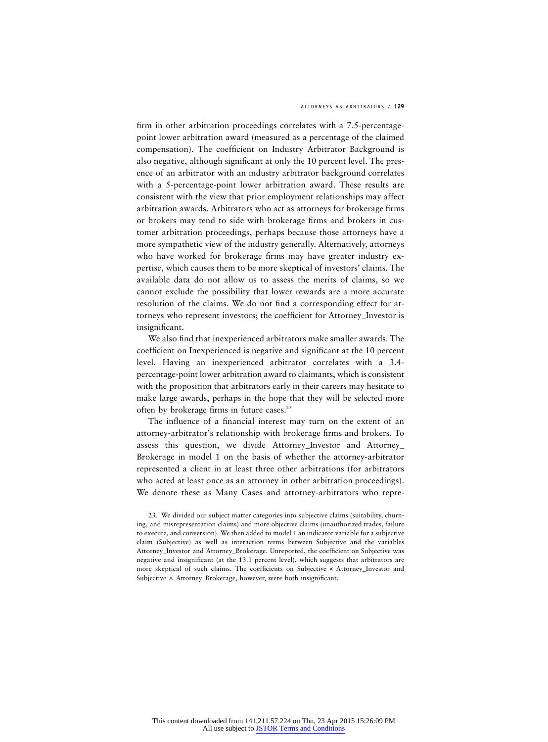firm in other arbitration proceedings correlates with a 7.5-percentagepoint lower arbitration award (measured as a percentage of the claimed compensation). The coefficient on Industry Arbitrator Background is also negative, although significant at only the 10 percent level. The presence of an arbitrator with an industry arbitrator background correlates with a 5-percentage-point lower arbitration award. These results are consistent with the view that prior employment relationships may affect arbitration awards. Arbitrators who act as attorneys for brokerage firms or brokers may tend to side with brokerage firms and brokers in customer arbitration proceedings, perhaps because those attorneys have a more sympathetic view of the industry generally. Alternatively, attorneys who have worked for brokerage firms may have greater industry expertise, which causes them to be more skeptical of investors' claims. The available data do not allow us to assess the merits of claims, so we cannot exclude the possibility that lower rewards are a more accurate resolution of the claims. We do not find a corresponding effect for attorneys who represent investors; the coefficient for Attorney\_Investor is insignificant.

We also find that inexperienced arbitrators make smaller awards. The coefficient on Inexperienced is negative and significant at the 10 percent level. Having an inexperienced arbitrator correlates with a 3.4 percentage-point lower arbitration award to claimants, which is consistent with the proposition that arbitrators early in their careers may hesitate to make large awards, perhaps in the hope that they will be selected more often by brokerage firms in future cases.<sup>23</sup>

The influence of a financial interest may turn on the extent of an attorney-arbitrator's relationship with brokerage firms and brokers. To assess this question, we divide Attorney\_Investor and Attorney\_ Brokerage in model 1 on the basis of whether the attorney-arbitrator represented a client in at least three other arbitrations (for arbitrators who acted at least once as an attorney in other arbitration proceedings). We denote these as Many Cases and attorney-arbitrators who repre-

<sup>23.</sup> We divided our subject matter categories into subjective claims (suitability, churning, and misrepresentation claims) and more objective claims (unauthorized trades, failure to execute, and conversion). We then added to model 1 an indicator variable for a subjective claim (Subjective) as well as interaction terms between Subjective and the variables Attorney\_Investor and Attorney\_Brokerage. Unreported, the coefficient on Subjective was negative and insignificant (at the 13.1 percent level), which suggests that arbitrators are more skeptical of such claims. The coefficients on Subjective  $\times$  Attorney\_Investor and Subjective x Attorney\_Brokerage, however, were both insignificant.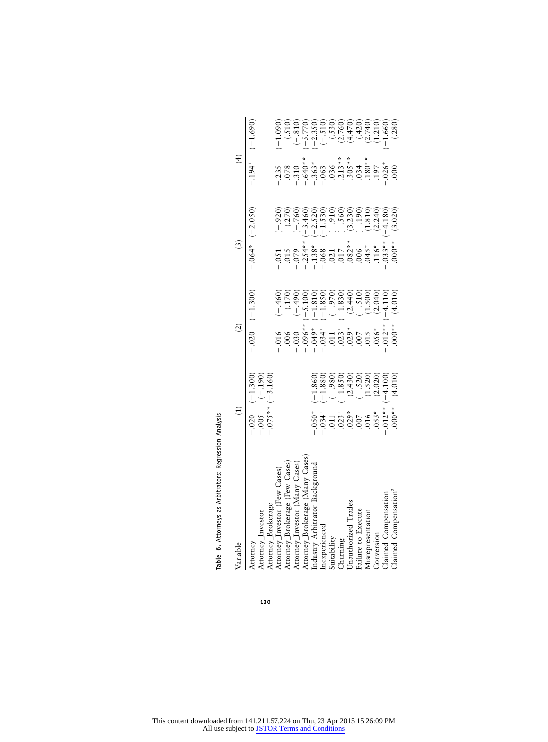| Variable                          |                                                                                                                                                                                                                                       |                                                                                                                                                                                                                                                                                                                       | $\widetilde{\omega}$                                                                                                                                                                                                     | $\widehat{4}$                                                                                                                                                                                                                                                                                |                                                                                                                                                                                                                                                                                                                                                  |
|-----------------------------------|---------------------------------------------------------------------------------------------------------------------------------------------------------------------------------------------------------------------------------------|-----------------------------------------------------------------------------------------------------------------------------------------------------------------------------------------------------------------------------------------------------------------------------------------------------------------------|--------------------------------------------------------------------------------------------------------------------------------------------------------------------------------------------------------------------------|----------------------------------------------------------------------------------------------------------------------------------------------------------------------------------------------------------------------------------------------------------------------------------------------|--------------------------------------------------------------------------------------------------------------------------------------------------------------------------------------------------------------------------------------------------------------------------------------------------------------------------------------------------|
|                                   |                                                                                                                                                                                                                                       |                                                                                                                                                                                                                                                                                                                       |                                                                                                                                                                                                                          |                                                                                                                                                                                                                                                                                              |                                                                                                                                                                                                                                                                                                                                                  |
| Attorney                          | $-0.020$ $(-1.300)$                                                                                                                                                                                                                   | $-0.020$ $(-1.300)$                                                                                                                                                                                                                                                                                                   | $-0.064*$ (-2.050)                                                                                                                                                                                                       | $-194$ <sup>+</sup>                                                                                                                                                                                                                                                                          | $(-1.690)$                                                                                                                                                                                                                                                                                                                                       |
| Attorney_Investor                 | $-0.005$ $(-.190)$<br>$-0.075**$ $(-3.160)$                                                                                                                                                                                           |                                                                                                                                                                                                                                                                                                                       |                                                                                                                                                                                                                          |                                                                                                                                                                                                                                                                                              |                                                                                                                                                                                                                                                                                                                                                  |
| Attorney_Brokerage                |                                                                                                                                                                                                                                       |                                                                                                                                                                                                                                                                                                                       |                                                                                                                                                                                                                          |                                                                                                                                                                                                                                                                                              |                                                                                                                                                                                                                                                                                                                                                  |
| Attorney_Investor (Few Cases)     |                                                                                                                                                                                                                                       |                                                                                                                                                                                                                                                                                                                       |                                                                                                                                                                                                                          |                                                                                                                                                                                                                                                                                              |                                                                                                                                                                                                                                                                                                                                                  |
| Attorney_Brokerage (Few Cases)    |                                                                                                                                                                                                                                       |                                                                                                                                                                                                                                                                                                                       |                                                                                                                                                                                                                          |                                                                                                                                                                                                                                                                                              |                                                                                                                                                                                                                                                                                                                                                  |
| Attorney_Investor (Many Cases)    |                                                                                                                                                                                                                                       |                                                                                                                                                                                                                                                                                                                       |                                                                                                                                                                                                                          |                                                                                                                                                                                                                                                                                              |                                                                                                                                                                                                                                                                                                                                                  |
| Attorney_Brokerage (Many Cases)   |                                                                                                                                                                                                                                       |                                                                                                                                                                                                                                                                                                                       |                                                                                                                                                                                                                          |                                                                                                                                                                                                                                                                                              |                                                                                                                                                                                                                                                                                                                                                  |
| Industry Arbitrator Background    |                                                                                                                                                                                                                                       |                                                                                                                                                                                                                                                                                                                       |                                                                                                                                                                                                                          |                                                                                                                                                                                                                                                                                              |                                                                                                                                                                                                                                                                                                                                                  |
| Inexperienced                     |                                                                                                                                                                                                                                       |                                                                                                                                                                                                                                                                                                                       |                                                                                                                                                                                                                          |                                                                                                                                                                                                                                                                                              |                                                                                                                                                                                                                                                                                                                                                  |
| Suitability                       |                                                                                                                                                                                                                                       |                                                                                                                                                                                                                                                                                                                       |                                                                                                                                                                                                                          |                                                                                                                                                                                                                                                                                              |                                                                                                                                                                                                                                                                                                                                                  |
| Churning<br>Unauthorized Trades   |                                                                                                                                                                                                                                       |                                                                                                                                                                                                                                                                                                                       |                                                                                                                                                                                                                          |                                                                                                                                                                                                                                                                                              |                                                                                                                                                                                                                                                                                                                                                  |
|                                   | $(-1.860)$<br>$(-1.880)$<br>$(-9.80)$<br>$(-1.850)$<br>$(-1.850)$<br>$(-1.850)$<br>$(-1.850)$<br>$(-1.520)$<br>$(-3.020)$<br>$-1.050$<br>$-1.034$<br>$-1.011$<br>$-1.023$<br>$-1.055$<br>$-1.055$<br>$-1.015$<br>$-1.012$<br>$-1.012$ | $\begin{array}{r} 1.016 \\ - 0.066 \\ - 0.030 \\ - 0.030 \\ - 0.030 \\ - 0.030 \\ - 0.030 \\ - 0.030 \\ - 0.030 \\ - 0.030 \\ - 0.030 \\ - 0.030 \\ - 0.030 \\ - 0.030 \\ - 0.030 \\ - 0.030 \\ - 0.030 \\ - 0.030 \\ - 0.030 \\ - 0.030 \\ - 0.030 \\ - 0.030 \\ - 0.030 \\ - 0.030 \\ - 0.030 \\ - 0.030 \\ - 0.03$ | $-1.5$<br>$-1.5$<br>$-1.5$<br>$-1.5$<br>$-1.5$<br>$-1.5$<br>$-1.5$<br>$-1.5$<br>$-1.5$<br>$-1.5$<br>$-1.5$<br>$-1.5$<br>$-1.5$<br>$-1.5$<br>$-1.5$<br>$-1.5$<br>$-1.5$<br>$-1.5$<br>$-1.5$<br>$-1.5$<br>$-1.5$<br>$-1.5$ | $7.35$<br>$7.8$<br>$7.8$<br>$7.8$<br>$7.8$<br>$7.8$<br>$7.8$<br>$7.8$<br>$7.8$<br>$7.8$<br>$7.8$<br>$7.8$<br>$7.8$<br>$7.8$<br>$7.8$<br>$7.8$<br>$7.8$<br>$7.8$<br>$7.8$<br>$7.8$<br>$7.8$<br>$7.8$<br>$7.8$<br>$7.8$<br>$7.8$<br>$7.8$<br>$7.8$<br>$7.8$<br>$7.8$<br>$7.8$<br>$7.8$<br>$7.$ | $\begin{array}{c}\n(1.510) \\ (-1.510) \\ (-5.770) \\ (-5.770) \\ (-1.530) \\ (-1.530) \\ (-1.530) \\ (-1.530) \\ (-1.530) \\ (-1.530) \\ (-1.530) \\ (-1.530) \\ (-1.530) \\ (-1.530) \\ (-1.530) \\ (-1.530) \\ (-1.530) \\ (-1.530) \\ (-1.530) \\ (-1.530) \\ (-1.530) \\ (-1.530) \\ (-1.530) \\ (-1.530) \\ (-1.530) \\ (-1.530) \\ (-1.5$ |
| Failure to Execute                |                                                                                                                                                                                                                                       |                                                                                                                                                                                                                                                                                                                       |                                                                                                                                                                                                                          |                                                                                                                                                                                                                                                                                              |                                                                                                                                                                                                                                                                                                                                                  |
| Misrepresentation                 |                                                                                                                                                                                                                                       |                                                                                                                                                                                                                                                                                                                       |                                                                                                                                                                                                                          |                                                                                                                                                                                                                                                                                              |                                                                                                                                                                                                                                                                                                                                                  |
| Conversion                        |                                                                                                                                                                                                                                       |                                                                                                                                                                                                                                                                                                                       |                                                                                                                                                                                                                          |                                                                                                                                                                                                                                                                                              |                                                                                                                                                                                                                                                                                                                                                  |
| Claimed Compensation              |                                                                                                                                                                                                                                       |                                                                                                                                                                                                                                                                                                                       |                                                                                                                                                                                                                          |                                                                                                                                                                                                                                                                                              |                                                                                                                                                                                                                                                                                                                                                  |
| Claimed Compensation <sup>®</sup> | (4.010)<br>$000**$                                                                                                                                                                                                                    | (4.010)                                                                                                                                                                                                                                                                                                               | (3.020)<br>$.000**$                                                                                                                                                                                                      |                                                                                                                                                                                                                                                                                              |                                                                                                                                                                                                                                                                                                                                                  |
|                                   |                                                                                                                                                                                                                                       |                                                                                                                                                                                                                                                                                                                       |                                                                                                                                                                                                                          |                                                                                                                                                                                                                                                                                              |                                                                                                                                                                                                                                                                                                                                                  |

Table 6. Attorneys as Arbitrators: Regression Analysis **Table 6.** Attorneys as Arbitrators: Regression Analysis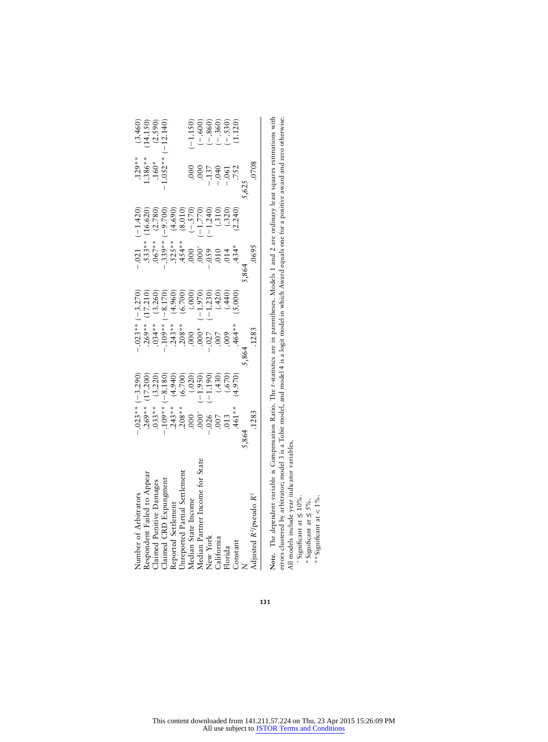| $(-1.150)$<br>$(-600)$<br>$(-860)$<br>$(-360)$<br>$(-360)$<br>$(-530)$<br>$(1.120)$ | .0708<br>$-137$<br>$-040$<br>$-061$<br>$-752$<br>$5,625$ | $\begin{array}{l} (16.62)\\ (2.782)\\ (12.783)\\ (2.783)\\ (3.783)\\ (4.69)\\ (5.783)\\ (6.783)\\ (7.783)\\ (8.783)\\ (9.783)\\ (10.783)\\ (11.783)\\ (12.783)\\ (12.783)\\ (12.783)\\ (12.783)\\ (12.783)\\ (12.783)\\ (12.783)\\ (12.783)\\ (12.783)\\ (12.783)\\ (12.783)\\ (12.783)$ | $-0.21$<br>$.533**$<br>$.667**$<br>$-339***$<br>$.525***$<br>$.454**$<br>.0695<br>.864 | $\begin{array}{r} (3.260) \\ (-8.170) \\ (+9.60) \\ (+9.60) \\ (+0.70) \\ (+0.70) \\ (-1.230) \\ (+4.420) \\ (+4.420) \\ (+4.420) \\ (-1.230) \\ (-4.40) \\ (-4.40) \\ (-4.40) \\ (-4.40) \\ (-4.40) \\ (-4.40) \\ (-4.40) \\ (-3.40) \\ (-3.40) \\ (-3.40) \\ (-3.40) \\ (-3.40) \\ (-3.40) \\ (-3.40) \\ (-3.40) \\ (-3.40) \\ (-3.40) \\ (-3.40) \\ (-3.$ | $-109$ **<br>$243$ **<br>$208$ **<br>$000$<br>$000$ *<br>$-0.07$<br>$-0.009$<br>$-0.009$<br>$-0.009$<br>$-0.009$<br>.1283<br>.864 | $\begin{array}{c} (3.220) \\ (-8.180) \\ (+4.940) \\ (6.700) \\ (-3.180) \\ (-1.960) \\ (-1.960) \\ (-1.960) \\ (-4.90) \\ (-4.90) \\ (-4.90) \\ (-4.90) \\ (-4.90) \\ (-4.90) \\ (-4.90) \\ (-4.90) \\ (-4.90) \\ (-4.90) \\ (-4.90) \\ (-4.90) \\ (-4.90) \\ (-4.90) \\ (-4.90) \\ (-4.90) \\ (-4.90) \\ (-4.90) \\ (-4.90) \\ (-4.90) \\ (-4.90) \\ (-4$ | $-0.23**$<br>$-0.69**$<br>$-0.69**$<br>$-0.33**$<br>$-0.03***$<br>$-0.03***$<br>$-0.03***$<br>$-0.03***$<br>$-0.03***$<br>$-0.03***$<br>$-0.026$<br>$-0.007$<br>$-0.013$<br>$-461**$<br>.1283<br>5,864 | Median Partner Income for State |
|-------------------------------------------------------------------------------------|----------------------------------------------------------|------------------------------------------------------------------------------------------------------------------------------------------------------------------------------------------------------------------------------------------------------------------------------------------|----------------------------------------------------------------------------------------|--------------------------------------------------------------------------------------------------------------------------------------------------------------------------------------------------------------------------------------------------------------------------------------------------------------------------------------------------------------|-----------------------------------------------------------------------------------------------------------------------------------|-------------------------------------------------------------------------------------------------------------------------------------------------------------------------------------------------------------------------------------------------------------------------------------------------------------------------------------------------------------|--------------------------------------------------------------------------------------------------------------------------------------------------------------------------------------------------------|---------------------------------|
|                                                                                     |                                                          |                                                                                                                                                                                                                                                                                          |                                                                                        |                                                                                                                                                                                                                                                                                                                                                              |                                                                                                                                   |                                                                                                                                                                                                                                                                                                                                                             |                                                                                                                                                                                                        |                                 |
|                                                                                     |                                                          |                                                                                                                                                                                                                                                                                          |                                                                                        |                                                                                                                                                                                                                                                                                                                                                              |                                                                                                                                   |                                                                                                                                                                                                                                                                                                                                                             |                                                                                                                                                                                                        |                                 |
|                                                                                     |                                                          |                                                                                                                                                                                                                                                                                          |                                                                                        |                                                                                                                                                                                                                                                                                                                                                              |                                                                                                                                   |                                                                                                                                                                                                                                                                                                                                                             |                                                                                                                                                                                                        |                                 |
|                                                                                     |                                                          |                                                                                                                                                                                                                                                                                          |                                                                                        |                                                                                                                                                                                                                                                                                                                                                              |                                                                                                                                   |                                                                                                                                                                                                                                                                                                                                                             |                                                                                                                                                                                                        |                                 |
|                                                                                     |                                                          |                                                                                                                                                                                                                                                                                          |                                                                                        |                                                                                                                                                                                                                                                                                                                                                              |                                                                                                                                   |                                                                                                                                                                                                                                                                                                                                                             |                                                                                                                                                                                                        |                                 |
|                                                                                     |                                                          |                                                                                                                                                                                                                                                                                          |                                                                                        |                                                                                                                                                                                                                                                                                                                                                              |                                                                                                                                   |                                                                                                                                                                                                                                                                                                                                                             |                                                                                                                                                                                                        |                                 |
|                                                                                     |                                                          |                                                                                                                                                                                                                                                                                          |                                                                                        |                                                                                                                                                                                                                                                                                                                                                              |                                                                                                                                   |                                                                                                                                                                                                                                                                                                                                                             |                                                                                                                                                                                                        |                                 |
|                                                                                     |                                                          |                                                                                                                                                                                                                                                                                          |                                                                                        |                                                                                                                                                                                                                                                                                                                                                              |                                                                                                                                   |                                                                                                                                                                                                                                                                                                                                                             |                                                                                                                                                                                                        |                                 |
|                                                                                     |                                                          |                                                                                                                                                                                                                                                                                          |                                                                                        |                                                                                                                                                                                                                                                                                                                                                              |                                                                                                                                   |                                                                                                                                                                                                                                                                                                                                                             |                                                                                                                                                                                                        |                                 |
|                                                                                     |                                                          |                                                                                                                                                                                                                                                                                          |                                                                                        |                                                                                                                                                                                                                                                                                                                                                              |                                                                                                                                   |                                                                                                                                                                                                                                                                                                                                                             |                                                                                                                                                                                                        |                                 |
| $(3.460)$<br>(14.150)<br>(2.590)<br>(-12.140)                                       | $1.386**$<br>$1.386**$<br>$1.60*$<br>$1.052**$           |                                                                                                                                                                                                                                                                                          |                                                                                        | $-0.023** (-3.270)$<br>$-269** (17.210)$<br>$0.034** (3.260)$<br>(17.210)                                                                                                                                                                                                                                                                                    |                                                                                                                                   |                                                                                                                                                                                                                                                                                                                                                             | (17.200)                                                                                                                                                                                               |                                 |
|                                                                                     |                                                          | $(-1.420)$                                                                                                                                                                                                                                                                               |                                                                                        |                                                                                                                                                                                                                                                                                                                                                              |                                                                                                                                   |                                                                                                                                                                                                                                                                                                                                                             | $(-3.290)$                                                                                                                                                                                             |                                 |

Note. The dependent variable is Compensation Ratio. The t-statistics are in parentheses. Models 1 and 2 are ordinary least squares estimations with<br>errors clustered by arbitrator; model 3 is a Tobit model, and model 4 is a **Note.** The dependent variable is Compensation Ratio. The *t*-statistics are in parentheses. Models 1 and 2 are ordinary least squares estimations with errors clustered by arbitrator; model 3 is a Tobit model, and model 4 is a logit model in which Award equals one for a positive award and zero otherwise. All models include year indicator variables.

 $+$ Significant at  $\leq 10\%$ .

+ Significant at  $\leq 10\%$ .<br>\* Significant at  $\leq 5\%$ .<br>\*\* Significant at < 1%. \*Significant at 5%. ≤

\*\* Significant at  $< 1\%$ .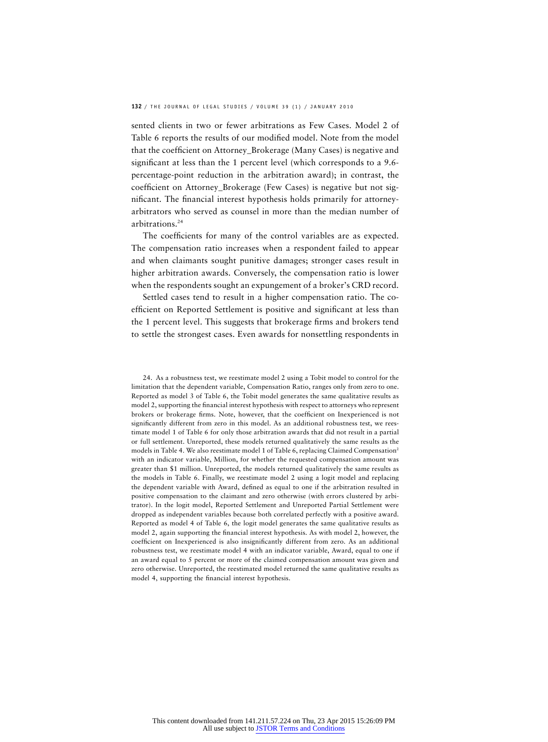sented clients in two or fewer arbitrations as Few Cases. Model 2 of Table 6 reports the results of our modified model. Note from the model that the coefficient on Attorney\_Brokerage (Many Cases) is negative and significant at less than the 1 percent level (which corresponds to a 9.6 percentage-point reduction in the arbitration award); in contrast, the coefficient on Attorney\_Brokerage (Few Cases) is negative but not significant. The financial interest hypothesis holds primarily for attorneyarbitrators who served as counsel in more than the median number of arbitrations.24

The coefficients for many of the control variables are as expected. The compensation ratio increases when a respondent failed to appear and when claimants sought punitive damages; stronger cases result in higher arbitration awards. Conversely, the compensation ratio is lower when the respondents sought an expungement of a broker's CRD record.

Settled cases tend to result in a higher compensation ratio. The coefficient on Reported Settlement is positive and significant at less than the 1 percent level. This suggests that brokerage firms and brokers tend to settle the strongest cases. Even awards for nonsettling respondents in

24. As a robustness test, we reestimate model 2 using a Tobit model to control for the limitation that the dependent variable, Compensation Ratio, ranges only from zero to one. Reported as model 3 of Table 6, the Tobit model generates the same qualitative results as model 2, supporting the financial interest hypothesis with respect to attorneys who represent brokers or brokerage firms. Note, however, that the coefficient on Inexperienced is not significantly different from zero in this model. As an additional robustness test, we reestimate model 1 of Table 6 for only those arbitration awards that did not result in a partial or full settlement. Unreported, these models returned qualitatively the same results as the models in Table 4. We also reestimate model 1 of Table 6, replacing Claimed Compensation<sup>2</sup> with an indicator variable, Million, for whether the requested compensation amount was greater than \$1 million. Unreported, the models returned qualitatively the same results as the models in Table 6. Finally, we reestimate model 2 using a logit model and replacing the dependent variable with Award, defined as equal to one if the arbitration resulted in positive compensation to the claimant and zero otherwise (with errors clustered by arbitrator). In the logit model, Reported Settlement and Unreported Partial Settlement were dropped as independent variables because both correlated perfectly with a positive award. Reported as model 4 of Table 6, the logit model generates the same qualitative results as model 2, again supporting the financial interest hypothesis. As with model 2, however, the coefficient on Inexperienced is also insignificantly different from zero. As an additional robustness test, we reestimate model 4 with an indicator variable, Award, equal to one if an award equal to 5 percent or more of the claimed compensation amount was given and zero otherwise. Unreported, the reestimated model returned the same qualitative results as model 4, supporting the financial interest hypothesis.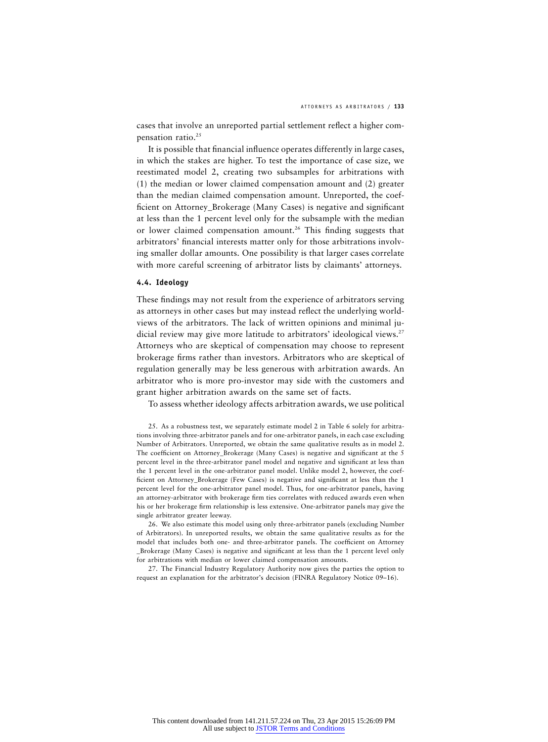cases that involve an unreported partial settlement reflect a higher compensation ratio.<sup>25</sup>

It is possible that financial influence operates differently in large cases, in which the stakes are higher. To test the importance of case size, we reestimated model 2, creating two subsamples for arbitrations with (1) the median or lower claimed compensation amount and (2) greater than the median claimed compensation amount. Unreported, the coefficient on Attorney\_Brokerage (Many Cases) is negative and significant at less than the 1 percent level only for the subsample with the median or lower claimed compensation amount.<sup>26</sup> This finding suggests that arbitrators' financial interests matter only for those arbitrations involving smaller dollar amounts. One possibility is that larger cases correlate with more careful screening of arbitrator lists by claimants' attorneys.

#### **4.4. Ideology**

These findings may not result from the experience of arbitrators serving as attorneys in other cases but may instead reflect the underlying worldviews of the arbitrators. The lack of written opinions and minimal judicial review may give more latitude to arbitrators' ideological views.<sup>27</sup> Attorneys who are skeptical of compensation may choose to represent brokerage firms rather than investors. Arbitrators who are skeptical of regulation generally may be less generous with arbitration awards. An arbitrator who is more pro-investor may side with the customers and grant higher arbitration awards on the same set of facts.

To assess whether ideology affects arbitration awards, we use political

25. As a robustness test, we separately estimate model 2 in Table 6 solely for arbitrations involving three-arbitrator panels and for one-arbitrator panels, in each case excluding Number of Arbitrators. Unreported, we obtain the same qualitative results as in model 2. The coefficient on Attorney\_Brokerage (Many Cases) is negative and significant at the 5 percent level in the three-arbitrator panel model and negative and significant at less than the 1 percent level in the one-arbitrator panel model. Unlike model 2, however, the coefficient on Attorney\_Brokerage (Few Cases) is negative and significant at less than the 1 percent level for the one-arbitrator panel model. Thus, for one-arbitrator panels, having an attorney-arbitrator with brokerage firm ties correlates with reduced awards even when his or her brokerage firm relationship is less extensive. One-arbitrator panels may give the single arbitrator greater leeway.

26. We also estimate this model using only three-arbitrator panels (excluding Number of Arbitrators). In unreported results, we obtain the same qualitative results as for the model that includes both one- and three-arbitrator panels. The coefficient on Attorney \_Brokerage (Many Cases) is negative and significant at less than the 1 percent level only for arbitrations with median or lower claimed compensation amounts.

27. The Financial Industry Regulatory Authority now gives the parties the option to request an explanation for the arbitrator's decision (FINRA Regulatory Notice 09–16).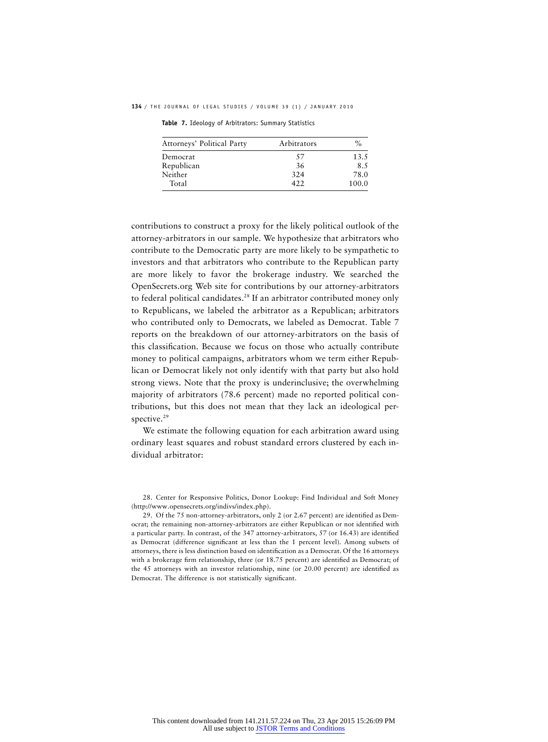**134** / THE JOURNAL OF LEGAL STUDIES / VOLUME 39 (1) / JANUARY 2010

**Table 7.** Ideology of Arbitrators: Summary Statistics

| Attorneys' Political Party | Arbitrators | $\%$  |
|----------------------------|-------------|-------|
| Democrat                   | 57          | 13.5  |
| Republican                 | 36          | 8.5   |
| Neither                    | 324         | 78.0  |
| Total                      | 422         | 100.0 |

contributions to construct a proxy for the likely political outlook of the attorney-arbitrators in our sample. We hypothesize that arbitrators who contribute to the Democratic party are more likely to be sympathetic to investors and that arbitrators who contribute to the Republican party are more likely to favor the brokerage industry. We searched the OpenSecrets.org Web site for contributions by our attorney-arbitrators to federal political candidates.<sup>28</sup> If an arbitrator contributed money only to Republicans, we labeled the arbitrator as a Republican; arbitrators who contributed only to Democrats, we labeled as Democrat. Table 7 reports on the breakdown of our attorney-arbitrators on the basis of this classification. Because we focus on those who actually contribute money to political campaigns, arbitrators whom we term either Republican or Democrat likely not only identify with that party but also hold strong views. Note that the proxy is underinclusive; the overwhelming majority of arbitrators (78.6 percent) made no reported political contributions, but this does not mean that they lack an ideological perspective.<sup>29</sup>

We estimate the following equation for each arbitration award using ordinary least squares and robust standard errors clustered by each individual arbitrator:

28. Center for Responsive Politics, Donor Lookup: Find Individual and Soft Money (http://www.opensecrets.org/indivs/index.php).

29. Of the 75 non-attorney-arbitrators, only 2 (or 2.67 percent) are identified as Democrat; the remaining non-attorney-arbitrators are either Republican or not identified with a particular party. In contrast, of the 347 attorney-arbitrators, 57 (or 16.43) are identified as Democrat (difference significant at less than the 1 percent level). Among subsets of attorneys, there is less distinction based on identification as a Democrat. Of the 16 attorneys with a brokerage firm relationship, three (or 18.75 percent) are identified as Democrat; of the 45 attorneys with an investor relationship, nine (or 20.00 percent) are identified as Democrat. The difference is not statistically significant.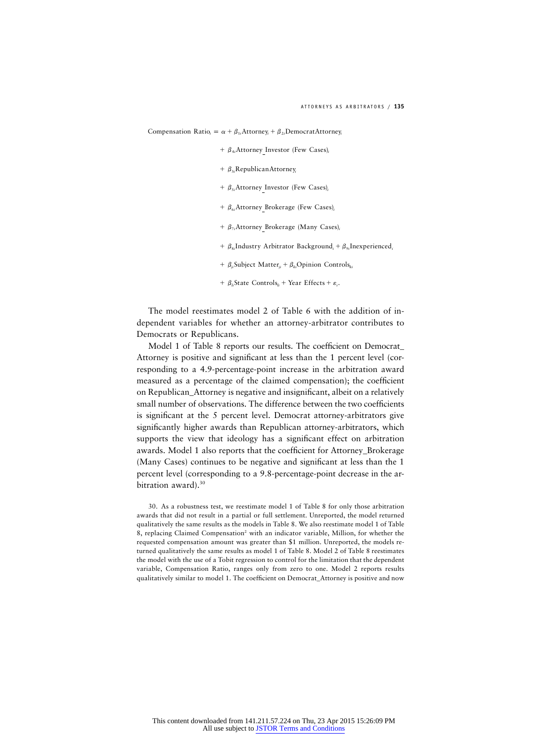Compensation Ratio<sub>i</sub> =  $\alpha + \beta_{1i}$ Attorney<sub>i</sub> +  $\beta_{2i}$ DemocratAttorney<sub>i</sub>

- +  $\beta_{4i}$ Attorney Investor (Few Cases)<sub>i</sub>
- $+ \beta_{3i}$ RepublicanAttorney<sub>i</sub>
- +  $\beta_{si}$ Attorney Investor (Few Cases)<sub>i</sub>
- +  $\beta_{6i}$ Attorney Brokerage (Few Cases)<sub>i</sub>
- +  $\beta_{7i}$ Attorney Brokerage (Many Cases)<sub>i</sub>
- $\beta$ <sub>si</sub> Industry Arbitrator Background,  $\beta$ <sub>9i</sub> Inexperienced,
- $\beta_{ii}$  Subject Matter<sub>ii</sub> +  $\beta_{ii}$  Opinion Controls<sub>ki</sub>
- $\beta_i$ State Controls<sub>*li*</sub> + Year Effects +  $\varepsilon_i$ .

The model reestimates model 2 of Table 6 with the addition of independent variables for whether an attorney-arbitrator contributes to Democrats or Republicans.

Model 1 of Table 8 reports our results. The coefficient on Democrat\_ Attorney is positive and significant at less than the 1 percent level (corresponding to a 4.9-percentage-point increase in the arbitration award measured as a percentage of the claimed compensation); the coefficient on Republican\_Attorney is negative and insignificant, albeit on a relatively small number of observations. The difference between the two coefficients is significant at the 5 percent level. Democrat attorney-arbitrators give significantly higher awards than Republican attorney-arbitrators, which supports the view that ideology has a significant effect on arbitration awards. Model 1 also reports that the coefficient for Attorney\_Brokerage (Many Cases) continues to be negative and significant at less than the 1 percent level (corresponding to a 9.8-percentage-point decrease in the arbitration award).<sup>30</sup>

30. As a robustness test, we reestimate model 1 of Table 8 for only those arbitration awards that did not result in a partial or full settlement. Unreported, the model returned qualitatively the same results as the models in Table 8. We also reestimate model 1 of Table 8, replacing Claimed Compensation<sup>2</sup> with an indicator variable, Million, for whether the requested compensation amount was greater than \$1 million. Unreported, the models returned qualitatively the same results as model 1 of Table 8. Model 2 of Table 8 reestimates the model with the use of a Tobit regression to control for the limitation that the dependent variable, Compensation Ratio, ranges only from zero to one. Model 2 reports results qualitatively similar to model 1. The coefficient on Democrat\_Attorney is positive and now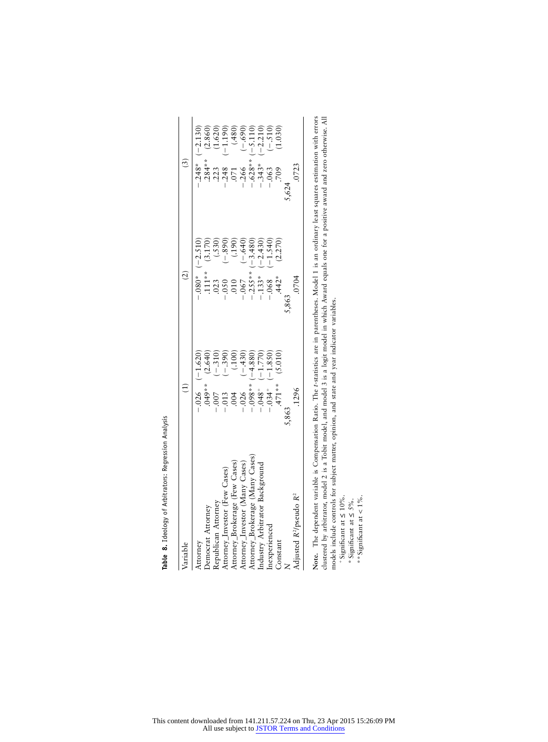| Variable                                       | $\left( \begin{matrix} 1 \end{matrix} \right)$                                                                                                                                                                     |                                                                                                                                                                                                                                                                           | (3)                                                                                                                                                                                                               |
|------------------------------------------------|--------------------------------------------------------------------------------------------------------------------------------------------------------------------------------------------------------------------|---------------------------------------------------------------------------------------------------------------------------------------------------------------------------------------------------------------------------------------------------------------------------|-------------------------------------------------------------------------------------------------------------------------------------------------------------------------------------------------------------------|
| Attorney                                       | $-0.026$ $(-1.620)$                                                                                                                                                                                                |                                                                                                                                                                                                                                                                           |                                                                                                                                                                                                                   |
| Democrat Attorney                              |                                                                                                                                                                                                                    |                                                                                                                                                                                                                                                                           |                                                                                                                                                                                                                   |
| Republican Attorney                            | $(2.640)$<br>$(-.310)$<br>$(-.390)$<br>$(-.390)$<br>$(-.430)$<br>$(-.430)$<br>$(-.430)$<br>$(45)^{**}$<br>$-0.013$<br>$-0.013$<br>$-0.048$<br>$-0.058$<br>$-0.048$<br>$-0.048$<br>$-0.048$<br>$-0.048$<br>$-0.048$ | $-1.080* (-2.510)$<br>$111**$ (3.170)<br>$-1.050$<br>$-0.050$<br>$-0.050$<br>$-0.050$<br>$-0.050$<br>$-0.057$<br>$-0.057$<br>$-0.057$<br>$-0.057$<br>$-0.057$<br>$-0.050$<br>$-0.050$<br>$-0.050$<br>$-0.050$<br>$-0.050$<br>$-0.050$<br>$-0.050$<br>$-0.050$<br>$-0.050$ | $\begin{array}{r} -248^* & (-2.130) \\ -2384^* & (2.860) \\ -2323 & (1.620) \\ -248 & (-1.190) \\ -0.71 & (480) \\ -628^* & (-5.110) \\ -628^* & (-2.10) \\ -343^* & (-2.210) \\ -343^* & (-2.10) \\ \end{array}$ |
| Attorney_Investor (Few Cases)                  |                                                                                                                                                                                                                    |                                                                                                                                                                                                                                                                           |                                                                                                                                                                                                                   |
| Attorney_Brokerage (Few Cases)                 |                                                                                                                                                                                                                    |                                                                                                                                                                                                                                                                           |                                                                                                                                                                                                                   |
| Attorney_Investor (Many Cases)                 |                                                                                                                                                                                                                    |                                                                                                                                                                                                                                                                           |                                                                                                                                                                                                                   |
| Attorney_Brokerage (Many Cases                 |                                                                                                                                                                                                                    |                                                                                                                                                                                                                                                                           |                                                                                                                                                                                                                   |
| Industry Arbitrator Background                 |                                                                                                                                                                                                                    |                                                                                                                                                                                                                                                                           |                                                                                                                                                                                                                   |
| Inexperienced                                  | $-1.850$                                                                                                                                                                                                           |                                                                                                                                                                                                                                                                           |                                                                                                                                                                                                                   |
| Constant                                       | (5.010)                                                                                                                                                                                                            |                                                                                                                                                                                                                                                                           |                                                                                                                                                                                                                   |
| $\geq$                                         |                                                                                                                                                                                                                    | 5,863                                                                                                                                                                                                                                                                     | 5624                                                                                                                                                                                                              |
| Adjusted R <sup>2</sup> /pseudo R <sup>2</sup> | .1296                                                                                                                                                                                                              | .0704                                                                                                                                                                                                                                                                     | .0723                                                                                                                                                                                                             |

Table 8. Ideology of Arbitrators: Regression Analysis **Table 8.** Ideology of Arbitrators: Regression Analysis

**Note.** The dependent variable is Compensation Ratio. The *t*-statistics are in parentheses. Model 1 is an ordinary least squares estimation with errors clustered by arbitrator, model 2 is a Tobit model, and model 3 is a logit model in which Award equals one for a positive award and zero otherwise. All models include controls for subject matter, opinion, and state and year indicator variables. Note. The dependent variable is Compensation Ratio. The *t*-statistics are in parentheses. Model 1 is an ordinary least squares estimation with errors<br>clustered by arbitrator, model 2 is a Tobit model, and model 3 is a log

 $+$ Significant at  $\leq 10\%$ .

\*Significant at 5%. ≤

\*\* Significant at  $< 1\%$ .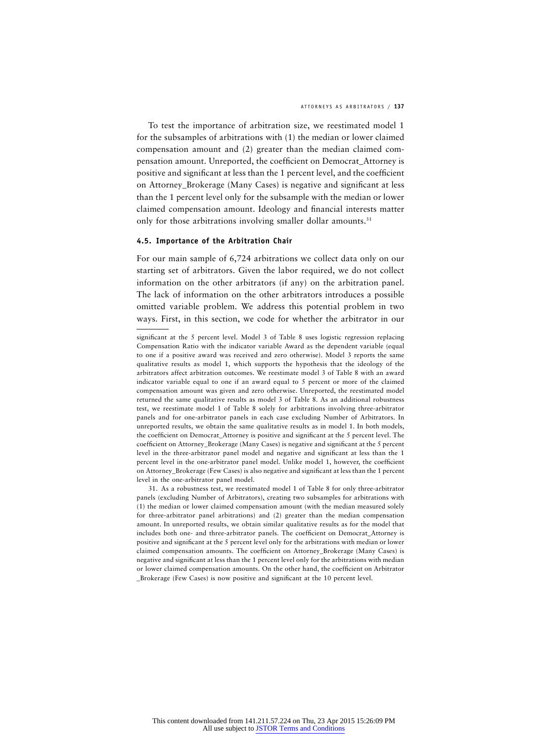To test the importance of arbitration size, we reestimated model 1 for the subsamples of arbitrations with (1) the median or lower claimed compensation amount and (2) greater than the median claimed compensation amount. Unreported, the coefficient on Democrat\_Attorney is positive and significant at less than the 1 percent level, and the coefficient on Attorney\_Brokerage (Many Cases) is negative and significant at less than the 1 percent level only for the subsample with the median or lower claimed compensation amount. Ideology and financial interests matter only for those arbitrations involving smaller dollar amounts.<sup>31</sup>

#### **4.5. Importance of the Arbitration Chair**

For our main sample of 6,724 arbitrations we collect data only on our starting set of arbitrators. Given the labor required, we do not collect information on the other arbitrators (if any) on the arbitration panel. The lack of information on the other arbitrators introduces a possible omitted variable problem. We address this potential problem in two ways. First, in this section, we code for whether the arbitrator in our

significant at the 5 percent level. Model 3 of Table 8 uses logistic regression replacing Compensation Ratio with the indicator variable Award as the dependent variable (equal to one if a positive award was received and zero otherwise). Model 3 reports the same qualitative results as model 1, which supports the hypothesis that the ideology of the arbitrators affect arbitration outcomes. We reestimate model 3 of Table 8 with an award indicator variable equal to one if an award equal to 5 percent or more of the claimed compensation amount was given and zero otherwise. Unreported, the reestimated model returned the same qualitative results as model 3 of Table 8. As an additional robustness test, we reestimate model 1 of Table 8 solely for arbitrations involving three-arbitrator panels and for one-arbitrator panels in each case excluding Number of Arbitrators. In unreported results, we obtain the same qualitative results as in model 1. In both models, the coefficient on Democrat\_Attorney is positive and significant at the 5 percent level. The coefficient on Attorney\_Brokerage (Many Cases) is negative and significant at the 5 percent level in the three-arbitrator panel model and negative and significant at less than the 1 percent level in the one-arbitrator panel model. Unlike model 1, however, the coefficient on Attorney\_Brokerage (Few Cases) is also negative and significant at less than the 1 percent level in the one-arbitrator panel model.

<sup>31.</sup> As a robustness test, we reestimated model 1 of Table 8 for only three-arbitrator panels (excluding Number of Arbitrators), creating two subsamples for arbitrations with (1) the median or lower claimed compensation amount (with the median measured solely for three-arbitrator panel arbitrations) and (2) greater than the median compensation amount. In unreported results, we obtain similar qualitative results as for the model that includes both one- and three-arbitrator panels. The coefficient on Democrat\_Attorney is positive and significant at the 5 percent level only for the arbitrations with median or lower claimed compensation amounts. The coefficient on Attorney\_Brokerage (Many Cases) is negative and significant at less than the 1 percent level only for the arbitrations with median or lower claimed compensation amounts. On the other hand, the coefficient on Arbitrator \_Brokerage (Few Cases) is now positive and significant at the 10 percent level.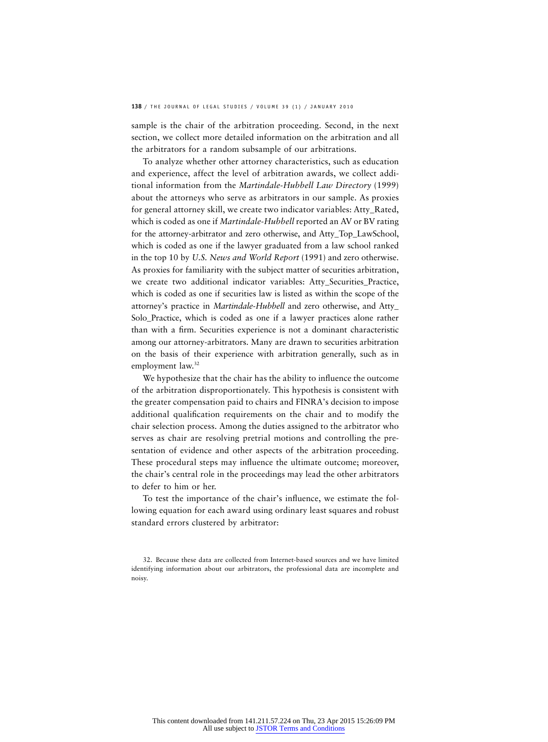sample is the chair of the arbitration proceeding. Second, in the next section, we collect more detailed information on the arbitration and all the arbitrators for a random subsample of our arbitrations.

To analyze whether other attorney characteristics, such as education and experience, affect the level of arbitration awards, we collect additional information from the *Martindale-Hubbell Law Directory* (1999) about the attorneys who serve as arbitrators in our sample. As proxies for general attorney skill, we create two indicator variables: Atty\_Rated, which is coded as one if *Martindale-Hubbell* reported an AV or BV rating for the attorney-arbitrator and zero otherwise, and Atty\_Top\_LawSchool, which is coded as one if the lawyer graduated from a law school ranked in the top 10 by *U.S. News and World Report* (1991) and zero otherwise. As proxies for familiarity with the subject matter of securities arbitration, we create two additional indicator variables: Atty Securities Practice, which is coded as one if securities law is listed as within the scope of the attorney's practice in *Martindale-Hubbell* and zero otherwise, and Atty\_ Solo Practice, which is coded as one if a lawyer practices alone rather than with a firm. Securities experience is not a dominant characteristic among our attorney-arbitrators. Many are drawn to securities arbitration on the basis of their experience with arbitration generally, such as in employment law.<sup>32</sup>

We hypothesize that the chair has the ability to influence the outcome of the arbitration disproportionately. This hypothesis is consistent with the greater compensation paid to chairs and FINRA's decision to impose additional qualification requirements on the chair and to modify the chair selection process. Among the duties assigned to the arbitrator who serves as chair are resolving pretrial motions and controlling the presentation of evidence and other aspects of the arbitration proceeding. These procedural steps may influence the ultimate outcome; moreover, the chair's central role in the proceedings may lead the other arbitrators to defer to him or her.

To test the importance of the chair's influence, we estimate the following equation for each award using ordinary least squares and robust standard errors clustered by arbitrator:

<sup>32.</sup> Because these data are collected from Internet-based sources and we have limited identifying information about our arbitrators, the professional data are incomplete and noisy.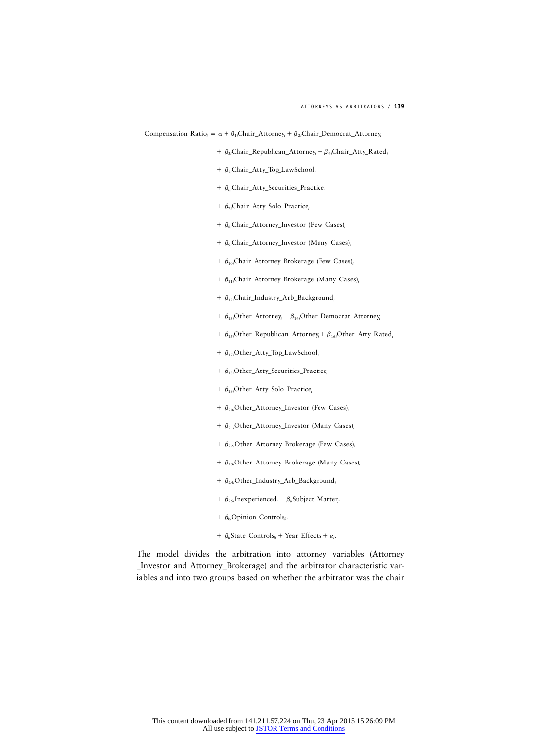Compensation Ratio<sub>i</sub> =  $\alpha + \beta_1$ *Chair\_Attorney<sub>i</sub>* +  $\beta_2$ *Chair\_Democrat\_Attorney<sub>i</sub>* 

- $\beta_3$ :Chair Republican Attorney +  $\beta_4$ :Chair Atty Rated
- +  $\beta_{si}$ Chair\_Atty\_Top\_LawSchool<sub>i</sub>
- +  $\beta_{6i}$ Chair\_Atty\_Securities\_Practice,
- +  $\beta$ <sub>7</sub>*i*Chair\_Atty\_Solo\_Practice<sub>i</sub>
- +  $\beta_{si}$ Chair\_Attorney\_Investor (Few Cases)<sub>i</sub>
- +  $\beta_{9i}$ Chair\_Attorney\_Investor (Many Cases)<sub>i</sub>
- +  $\beta_{10i}$ Chair\_Attorney\_Brokerage (Few Cases)<sub>i</sub>
- $+$  β<sub>11</sub>*i*Chair\_Attorney\_Brokerage (Many Cases)<sub>i</sub>
- $+ \beta_{12}$ Chair\_Industry\_Arb\_Background
- $\beta_{13i}$ Other\_Attorney<sub>i</sub> +  $\beta_{14i}$ Other\_Democrat\_Attorney<sub>i</sub>
- +  $\beta_{15i}$ Other\_Republican\_Attorney<sub>i</sub> +  $\beta_{16i}$ Other\_Atty\_Rated<sub>i</sub>
- +  $\beta_{17i}$ Other\_Atty\_Top\_LawSchool,
- $\beta_{18i}$ Other\_Atty\_Securities\_Practice<sub>i</sub>
- +  $\beta_{19i}$ Other\_Atty\_Solo\_Practice<sub>i</sub>
- +  $\beta_{20i}$ Other\_Attorney\_Investor (Few Cases)<sub>i</sub>
- +  $\beta_{21i}$ Other\_Attorney\_Investor (Many Cases)<sub>i</sub>
- +  $\beta_{22i}$ Other\_Attorney\_Brokerage (Few Cases)<sub>i</sub>
- +  $\beta_{23i}$ Other\_Attorney\_Brokerage (Many Cases)<sub>i</sub>
- $+ \beta_{24i}$ Other\_Industry\_Arb\_Background<sub>i</sub>
- $\beta$ <sub>25*i*</sub> Inexperienced<sub>*i*</sub> +  $\beta$ <sub>*ii*</sub> Subject Matter<sub>ii</sub>
- $+ \beta_{ki}$ Opinion Controls<sub>ki</sub>
- $\beta_{li}$ State Controls<sub>li</sub> + Year Effects +  $\varepsilon_i$ .

The model divides the arbitration into attorney variables (Attorney \_Investor and Attorney\_Brokerage) and the arbitrator characteristic variables and into two groups based on whether the arbitrator was the chair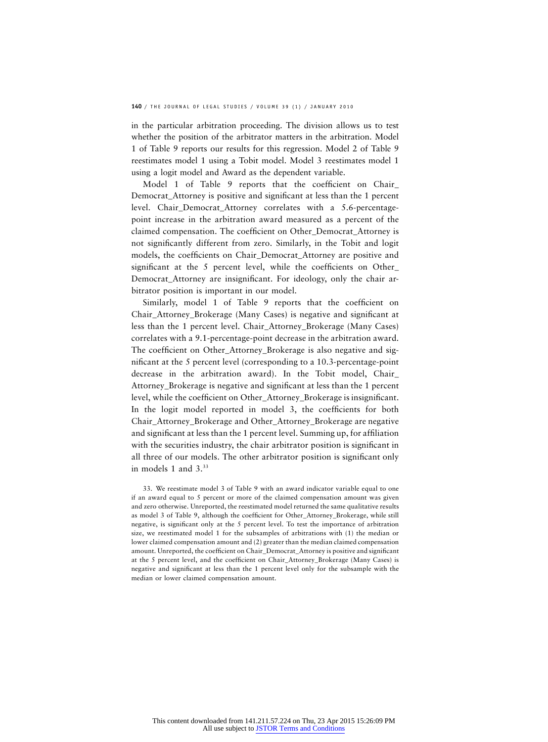in the particular arbitration proceeding. The division allows us to test whether the position of the arbitrator matters in the arbitration. Model 1 of Table 9 reports our results for this regression. Model 2 of Table 9 reestimates model 1 using a Tobit model. Model 3 reestimates model 1 using a logit model and Award as the dependent variable.

Model 1 of Table 9 reports that the coefficient on Chair\_ Democrat\_Attorney is positive and significant at less than the 1 percent level. Chair\_Democrat\_Attorney correlates with a 5.6-percentagepoint increase in the arbitration award measured as a percent of the claimed compensation. The coefficient on Other\_Democrat\_Attorney is not significantly different from zero. Similarly, in the Tobit and logit models, the coefficients on Chair\_Democrat\_Attorney are positive and significant at the 5 percent level, while the coefficients on Other\_ Democrat\_Attorney are insignificant. For ideology, only the chair arbitrator position is important in our model.

Similarly, model 1 of Table 9 reports that the coefficient on Chair\_Attorney\_Brokerage (Many Cases) is negative and significant at less than the 1 percent level. Chair\_Attorney\_Brokerage (Many Cases) correlates with a 9.1-percentage-point decrease in the arbitration award. The coefficient on Other\_Attorney\_Brokerage is also negative and significant at the 5 percent level (corresponding to a 10.3-percentage-point decrease in the arbitration award). In the Tobit model, Chair\_ Attorney\_Brokerage is negative and significant at less than the 1 percent level, while the coefficient on Other\_Attorney\_Brokerage is insignificant. In the logit model reported in model 3, the coefficients for both Chair\_Attorney\_Brokerage and Other\_Attorney\_Brokerage are negative and significant at less than the 1 percent level. Summing up, for affiliation with the securities industry, the chair arbitrator position is significant in all three of our models. The other arbitrator position is significant only in models 1 and  $3.^{33}$ 

33. We reestimate model 3 of Table 9 with an award indicator variable equal to one if an award equal to 5 percent or more of the claimed compensation amount was given and zero otherwise. Unreported, the reestimated model returned the same qualitative results as model 3 of Table 9, although the coefficient for Other\_Attorney\_Brokerage, while still negative, is significant only at the  $5$  percent level. To test the importance of arbitration size, we reestimated model 1 for the subsamples of arbitrations with (1) the median or lower claimed compensation amount and (2) greater than the median claimed compensation amount. Unreported, the coefficient on Chair\_Democrat\_Attorney is positive and significant at the 5 percent level, and the coefficient on Chair\_Attorney\_Brokerage (Many Cases) is negative and significant at less than the 1 percent level only for the subsample with the median or lower claimed compensation amount.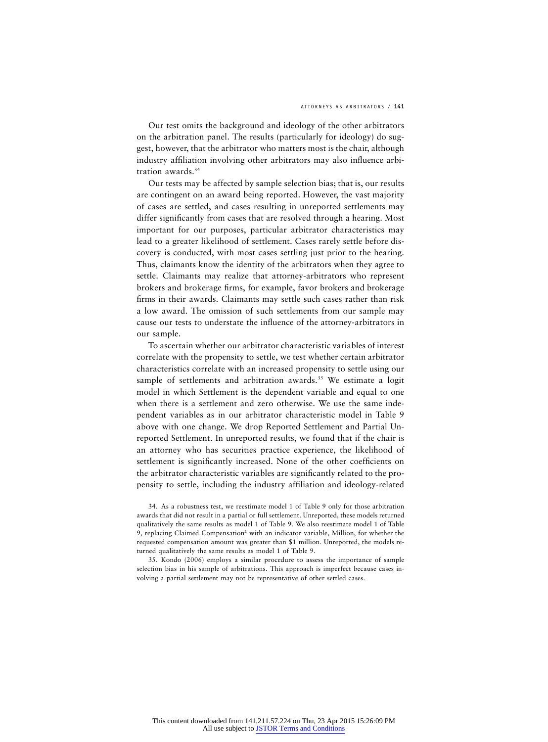Our test omits the background and ideology of the other arbitrators on the arbitration panel. The results (particularly for ideology) do suggest, however, that the arbitrator who matters most is the chair, although industry affiliation involving other arbitrators may also influence arbitration awards.<sup>34</sup>

Our tests may be affected by sample selection bias; that is, our results are contingent on an award being reported. However, the vast majority of cases are settled, and cases resulting in unreported settlements may differ significantly from cases that are resolved through a hearing. Most important for our purposes, particular arbitrator characteristics may lead to a greater likelihood of settlement. Cases rarely settle before discovery is conducted, with most cases settling just prior to the hearing. Thus, claimants know the identity of the arbitrators when they agree to settle. Claimants may realize that attorney-arbitrators who represent brokers and brokerage firms, for example, favor brokers and brokerage firms in their awards. Claimants may settle such cases rather than risk a low award. The omission of such settlements from our sample may cause our tests to understate the influence of the attorney-arbitrators in our sample.

To ascertain whether our arbitrator characteristic variables of interest correlate with the propensity to settle, we test whether certain arbitrator characteristics correlate with an increased propensity to settle using our sample of settlements and arbitration awards.<sup>35</sup> We estimate a logit model in which Settlement is the dependent variable and equal to one when there is a settlement and zero otherwise. We use the same independent variables as in our arbitrator characteristic model in Table 9 above with one change. We drop Reported Settlement and Partial Unreported Settlement. In unreported results, we found that if the chair is an attorney who has securities practice experience, the likelihood of settlement is significantly increased. None of the other coefficients on the arbitrator characteristic variables are significantly related to the propensity to settle, including the industry affiliation and ideology-related

35. Kondo (2006) employs a similar procedure to assess the importance of sample selection bias in his sample of arbitrations. This approach is imperfect because cases involving a partial settlement may not be representative of other settled cases.

<sup>34.</sup> As a robustness test, we reestimate model 1 of Table 9 only for those arbitration awards that did not result in a partial or full settlement. Unreported, these models returned qualitatively the same results as model 1 of Table 9. We also reestimate model 1 of Table 9, replacing Claimed Compensation<sup>2</sup> with an indicator variable, Million, for whether the requested compensation amount was greater than \$1 million. Unreported, the models returned qualitatively the same results as model 1 of Table 9.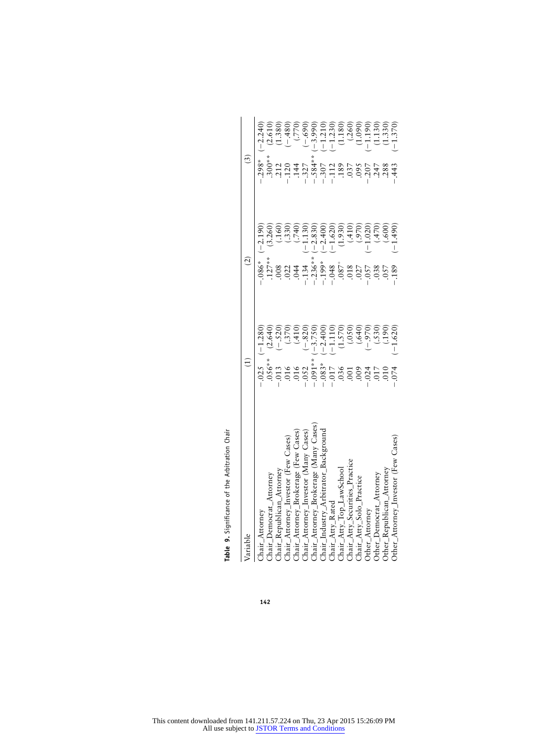| Table 9. Significance of the Arbitration Chair               |                                       |                                                                                                                                                                                                                                                                                                                                                                                                                                                                                                                                                                                                                                                                            |                                                               |
|--------------------------------------------------------------|---------------------------------------|----------------------------------------------------------------------------------------------------------------------------------------------------------------------------------------------------------------------------------------------------------------------------------------------------------------------------------------------------------------------------------------------------------------------------------------------------------------------------------------------------------------------------------------------------------------------------------------------------------------------------------------------------------------------------|---------------------------------------------------------------|
| Variable                                                     |                                       | $\overline{2}$                                                                                                                                                                                                                                                                                                                                                                                                                                                                                                                                                                                                                                                             | $\widetilde{\mathcal{C}}$                                     |
| hair_Attorney                                                | $(-1.280)$<br>$-0.025$                | $( -2.190)$<br>$-0.86$ <sup>*</sup>                                                                                                                                                                                                                                                                                                                                                                                                                                                                                                                                                                                                                                        | $(-2.240)$<br>$-298*$                                         |
| hair_Democrat_Attorney                                       | (2.640)<br>$.056**$                   | (3.260)                                                                                                                                                                                                                                                                                                                                                                                                                                                                                                                                                                                                                                                                    | $.300**$                                                      |
| Thair_Republican_Attorney                                    | $(-.520)$<br>$-.013$                  |                                                                                                                                                                                                                                                                                                                                                                                                                                                                                                                                                                                                                                                                            | 212                                                           |
| hair_Attorney_Investor (Few Cases)                           | (.370)                                | $\frac{(160)}{(330)}$                                                                                                                                                                                                                                                                                                                                                                                                                                                                                                                                                                                                                                                      | $-120$<br>$144$                                               |
| hair_Attorney_Brokerage (Few Cases)                          | (410)<br>$016$<br>016                 | $(0+2)$                                                                                                                                                                                                                                                                                                                                                                                                                                                                                                                                                                                                                                                                    | $(2.610)$<br>$(1.380)$<br>$(-.770)$<br>$(-.690)$<br>$(-.690)$ |
| Cases)<br>Attorney_Investor (Many Cases)                     | $(-.820)$<br>$-.052$                  | $(-1.130)$                                                                                                                                                                                                                                                                                                                                                                                                                                                                                                                                                                                                                                                                 |                                                               |
| Cases) Chair_Attorney_Brokerage (Many Cases)                 | $(-3.750)$<br>$(-2.400)$<br>$-0.00 -$ | $-2.830$                                                                                                                                                                                                                                                                                                                                                                                                                                                                                                                                                                                                                                                                   | $-327$<br>$-584$ *                                            |
| Chair_Industry_Arbitrator_Background                         | $-0.083*$                             | $-2.400$<br>$\begin{array}{l} \stackrel{*}{\rightarrow} \\ \stackrel{+}{\rightarrow} \\ \stackrel{+}{\rightarrow} \\ \stackrel{+}{\rightarrow} \\ \stackrel{+}{\rightarrow} \\ \stackrel{+}{\rightarrow} \\ \stackrel{+}{\rightarrow} \\ \stackrel{+}{\rightarrow} \\ \stackrel{+}{\rightarrow} \\ \stackrel{+}{\rightarrow} \\ \stackrel{+}{\rightarrow} \\ \stackrel{+}{\rightarrow} \\ \stackrel{+}{\rightarrow} \\ \stackrel{+}{\rightarrow} \\ \stackrel{+}{\rightarrow} \\ \stackrel{+}{\rightarrow} \\ \stackrel{+}{\rightarrow} \\ \stackrel{+}{\rightarrow} \\ \stackrel{+}{\rightarrow} \\ \stackrel{+}{\rightarrow} \\ \stackrel{+}{\rightarrow} \\ \stackrel{$ | $(-3.990)$<br>$(-1.210)$<br>$-307$<br>$-112$                  |
| Chair_Atty_Rated                                             | $-1.110$                              |                                                                                                                                                                                                                                                                                                                                                                                                                                                                                                                                                                                                                                                                            |                                                               |
| hair_Atty_Top_LawSchool                                      | 1.570                                 |                                                                                                                                                                                                                                                                                                                                                                                                                                                                                                                                                                                                                                                                            | .189                                                          |
| hair_Atty_Securities_Practice                                | (0.050)                               | $\begin{array}{r} -1.620 \ -2.610 \end{array}$<br>(1.930)<br>(14.10)                                                                                                                                                                                                                                                                                                                                                                                                                                                                                                                                                                                                       | 137<br>560.                                                   |
| Chair_Atty_Solo_Practice                                     | (.640)                                |                                                                                                                                                                                                                                                                                                                                                                                                                                                                                                                                                                                                                                                                            |                                                               |
| Other_Attorney                                               | $-0.970$<br>$-.024$                   | 1.020                                                                                                                                                                                                                                                                                                                                                                                                                                                                                                                                                                                                                                                                      | $-207$<br>747                                                 |
| )ther_Democrat_Attorney                                      | $(.530)$<br>$(.190)$<br>017           | (470)<br>$-0.057$<br>80.0.00                                                                                                                                                                                                                                                                                                                                                                                                                                                                                                                                                                                                                                               |                                                               |
| )ther_Republican_Attorney                                    | 010                                   | 009.)                                                                                                                                                                                                                                                                                                                                                                                                                                                                                                                                                                                                                                                                      | .288                                                          |
| $\text{Other}\_\text{Attorney}\_\text{Invector}$ (Few Cases) | $-1.620$<br>.074                      | $-1.490$<br>$-189$                                                                                                                                                                                                                                                                                                                                                                                                                                                                                                                                                                                                                                                         | $-1.370$<br>$-.443$                                           |

**Table 9.** Significance of the Arbitration Chair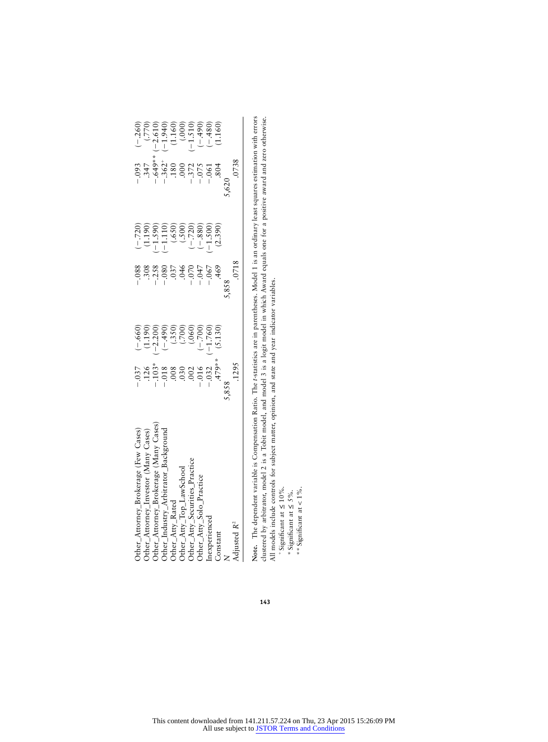| Other_Attorney_Brokerage (Few Cases)<br>Other_Attorney_Investor (Many Cases)                                                                                        | $\begin{array}{c}(-660)\\[-1.300)\\[-1.300)\\[-1.300)\\[-1.300)\\[-1.300)\\[-1.300)\\[-1.300)\\[-1.300)\\[-1.300)\\[-1.300)\\[-1.300)\\[-1.300)\\[-1.300)\\[-1.300)\\[-1.300)\\[-1.300)\\[-1.300)\\[-1.300] \end{array}$<br>$-37$<br>$-37$<br>$-103$<br>$-103$<br>$-103$<br>$-103$<br>$-103$<br>$-103$<br>$-103$<br>$-103$<br>$-103$<br>$-103$<br>$-103$ |       | $(-.720)$<br>$(-.1390)$<br>$-1.1100$<br>$(-.500)$<br>$(-.720)$<br>$(-.720)$<br>$(-.720)$<br>$(-.7300)$<br>$(-.300)$ | $\begin{array}{cccc} -0.93\\ -0.47\\ -0.44\\ -0.562\\ -0.000\\ -0.000\\ -0.000\\ -0.000\\ -0.000\\ -0.000\\ -0.000\\ -0.000\\ -0.000\\ -0.000\\ -0.000\\ -0.000\\ -0.000\\ -0.000\\ -0.000\\ -0.000\\ -0.000\\ -0.000\\ -0.000\\ -0.000\\ -0.000\\ -0.000\\ -0.000\\ -0.000\\ -0.000\\ -0.000\\ -0.000$ | $\begin{array}{c} (-260) \\ (-250) \\ (-250) \\ (-1.940) \\ (-1.510) \\ (-1.510) \\ (-1.510) \\ (-1.510) \\ (-1.510) \\ (-1.510) \\ (-1.480) \\ (-1.480) \\ (-1.480) \\ (-1.480) \\ (-1.480) \\ (-1.480) \\ (-1.480) \\ (-1.480) \\ (-1.480) \\ (-1.480) \\ (-1.480) \\ (-1.480) \\ (-1.480) \\ (-1.480) \\ (-1.480) \\ (-1.480) \\ (-1.480) \\ (-1.$ |
|---------------------------------------------------------------------------------------------------------------------------------------------------------------------|----------------------------------------------------------------------------------------------------------------------------------------------------------------------------------------------------------------------------------------------------------------------------------------------------------------------------------------------------------|-------|---------------------------------------------------------------------------------------------------------------------|---------------------------------------------------------------------------------------------------------------------------------------------------------------------------------------------------------------------------------------------------------------------------------------------------------|-------------------------------------------------------------------------------------------------------------------------------------------------------------------------------------------------------------------------------------------------------------------------------------------------------------------------------------------------------|
|                                                                                                                                                                     |                                                                                                                                                                                                                                                                                                                                                          |       |                                                                                                                     |                                                                                                                                                                                                                                                                                                         |                                                                                                                                                                                                                                                                                                                                                       |
|                                                                                                                                                                     |                                                                                                                                                                                                                                                                                                                                                          |       |                                                                                                                     |                                                                                                                                                                                                                                                                                                         |                                                                                                                                                                                                                                                                                                                                                       |
| Other_Attorney_Brokerage (Many Cases)<br>Other_Atty_Arbitrator_Background<br>Other_Atty_Top_LawSchool<br>Other_Atty_Securities_Practice<br>Other_Atty_Solo_Practice |                                                                                                                                                                                                                                                                                                                                                          |       |                                                                                                                     |                                                                                                                                                                                                                                                                                                         |                                                                                                                                                                                                                                                                                                                                                       |
|                                                                                                                                                                     |                                                                                                                                                                                                                                                                                                                                                          |       |                                                                                                                     |                                                                                                                                                                                                                                                                                                         |                                                                                                                                                                                                                                                                                                                                                       |
|                                                                                                                                                                     |                                                                                                                                                                                                                                                                                                                                                          |       |                                                                                                                     |                                                                                                                                                                                                                                                                                                         |                                                                                                                                                                                                                                                                                                                                                       |
|                                                                                                                                                                     |                                                                                                                                                                                                                                                                                                                                                          |       |                                                                                                                     |                                                                                                                                                                                                                                                                                                         |                                                                                                                                                                                                                                                                                                                                                       |
| Inexperienced                                                                                                                                                       |                                                                                                                                                                                                                                                                                                                                                          |       |                                                                                                                     |                                                                                                                                                                                                                                                                                                         |                                                                                                                                                                                                                                                                                                                                                       |
| Constant                                                                                                                                                            |                                                                                                                                                                                                                                                                                                                                                          |       |                                                                                                                     |                                                                                                                                                                                                                                                                                                         |                                                                                                                                                                                                                                                                                                                                                       |
| $\overline{z}$                                                                                                                                                      | 5,858                                                                                                                                                                                                                                                                                                                                                    | 5,858 |                                                                                                                     | .620                                                                                                                                                                                                                                                                                                    |                                                                                                                                                                                                                                                                                                                                                       |
| Adjusted R <sup>2</sup>                                                                                                                                             | .1295                                                                                                                                                                                                                                                                                                                                                    | .0718 |                                                                                                                     | .0738                                                                                                                                                                                                                                                                                                   |                                                                                                                                                                                                                                                                                                                                                       |
|                                                                                                                                                                     |                                                                                                                                                                                                                                                                                                                                                          |       |                                                                                                                     |                                                                                                                                                                                                                                                                                                         |                                                                                                                                                                                                                                                                                                                                                       |

**Note.** The dependent variable is Compensation Ratio. The *t*-statistics are in parentheses. Model 1 is an ordinary least squares estimation with errors clustered by arbitrator, model 2 is a Tobit model, and model 3 is a logit model in which Award equals one for a positive award and zero otherwise. All models include controls for subject matter, opinion, and state and year indicator variables. Note. The dependent variable is Compensation Ratio. The t-statistics are in parentheses. Model 1 is an ordinary least squares estimation with errors<br>clustered by arbitrator, model 2 is a Tobit model, and model 3 is a logit

 $+$ Significant at  $\leq 10\%$ .

\*Significant at 5%. ≤

\*\* Significant at  $< 1\%$ .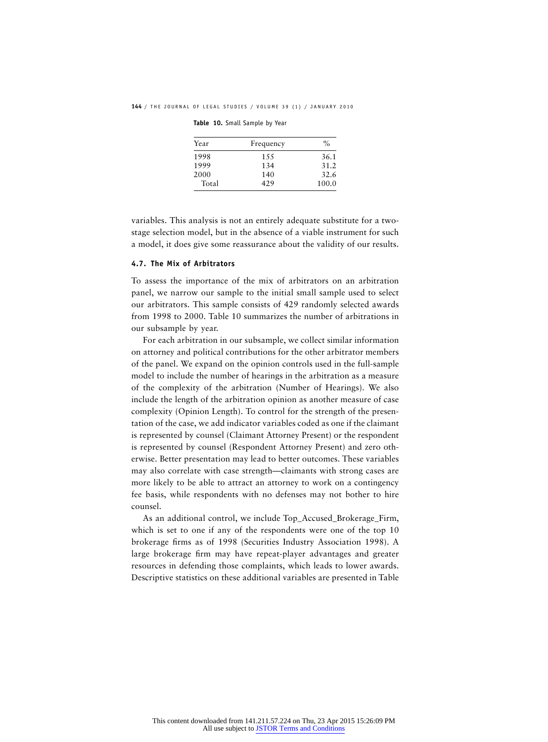| Table 10. Small Sample by Year |  |  |  |  |
|--------------------------------|--|--|--|--|
|--------------------------------|--|--|--|--|

| Year  | Frequency | $\%$  |
|-------|-----------|-------|
| 1998  | 1.5.5     | 36.1  |
| 1999  | 134       | 31.2  |
| 2000  | 140       | 32.6  |
| Total | 429       | 100.0 |

variables. This analysis is not an entirely adequate substitute for a twostage selection model, but in the absence of a viable instrument for such a model, it does give some reassurance about the validity of our results.

#### **4.7. The Mix of Arbitrators**

To assess the importance of the mix of arbitrators on an arbitration panel, we narrow our sample to the initial small sample used to select our arbitrators. This sample consists of 429 randomly selected awards from 1998 to 2000. Table 10 summarizes the number of arbitrations in our subsample by year.

For each arbitration in our subsample, we collect similar information on attorney and political contributions for the other arbitrator members of the panel. We expand on the opinion controls used in the full-sample model to include the number of hearings in the arbitration as a measure of the complexity of the arbitration (Number of Hearings). We also include the length of the arbitration opinion as another measure of case complexity (Opinion Length). To control for the strength of the presentation of the case, we add indicator variables coded as one if the claimant is represented by counsel (Claimant Attorney Present) or the respondent is represented by counsel (Respondent Attorney Present) and zero otherwise. Better presentation may lead to better outcomes. These variables may also correlate with case strength—claimants with strong cases are more likely to be able to attract an attorney to work on a contingency fee basis, while respondents with no defenses may not bother to hire counsel.

As an additional control, we include Top\_Accused\_Brokerage\_Firm, which is set to one if any of the respondents were one of the top 10 brokerage firms as of 1998 (Securities Industry Association 1998). A large brokerage firm may have repeat-player advantages and greater resources in defending those complaints, which leads to lower awards. Descriptive statistics on these additional variables are presented in Table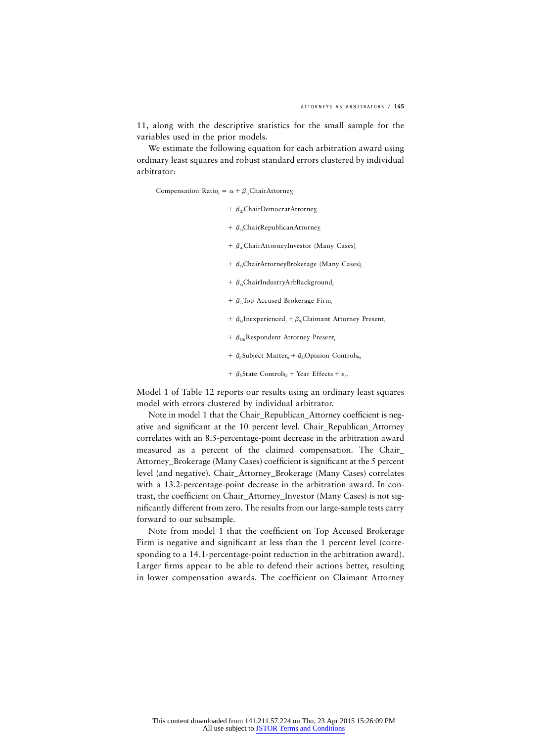11, along with the descriptive statistics for the small sample for the variables used in the prior models.

We estimate the following equation for each arbitration award using ordinary least squares and robust standard errors clustered by individual arbitrator:

Compensation Ratio<sub>i</sub> =  $\alpha + \beta_1$ ChairAttorney<sub>i</sub>

- + β<sub>2i</sub>ChairDemocratAttorney<sub>i</sub>
- $\phi$ <sub>3</sub>, ChairRepublicanAttorney
- +  $\beta_{4i}$ ChairAttorneyInvestor (Many Cases)<sub>i</sub>
- $+$  β<sub>5i</sub>ChairAttorneyBrokerage (Many Cases),
- +  $\beta_c$ ChairIndustryArbBackground,
- $+ \beta_{7i}$ Top Accused Brokerage Firm<sub>i</sub>
- $\beta_{8i}$  Inexperienced<sub>*i*</sub> +  $\beta_{9i}$  Claimant Attorney Present<sub>*i*</sub>
- +  $\beta_{10i}$ Respondent Attorney Present,
- $\beta_{ii}$  Subject Matter<sub>ii</sub> +  $\beta_{ii}$  Opinion Controls<sub>ki</sub>
- $\beta_{li}$ State Controls<sub>li</sub> + Year Effects +  $\varepsilon_i$ .

Model 1 of Table 12 reports our results using an ordinary least squares model with errors clustered by individual arbitrator.

Note in model 1 that the Chair\_Republican\_Attorney coefficient is negative and significant at the 10 percent level. Chair\_Republican\_Attorney correlates with an 8.5-percentage-point decrease in the arbitration award measured as a percent of the claimed compensation. The Chair\_ Attorney\_Brokerage (Many Cases) coefficient is significant at the 5 percent level (and negative). Chair\_Attorney\_Brokerage (Many Cases) correlates with a 13.2-percentage-point decrease in the arbitration award. In contrast, the coefficient on Chair\_Attorney\_Investor (Many Cases) is not significantly different from zero. The results from our large-sample tests carry forward to our subsample.

Note from model 1 that the coefficient on Top Accused Brokerage Firm is negative and significant at less than the 1 percent level (corresponding to a 14.1-percentage-point reduction in the arbitration award). Larger firms appear to be able to defend their actions better, resulting in lower compensation awards. The coefficient on Claimant Attorney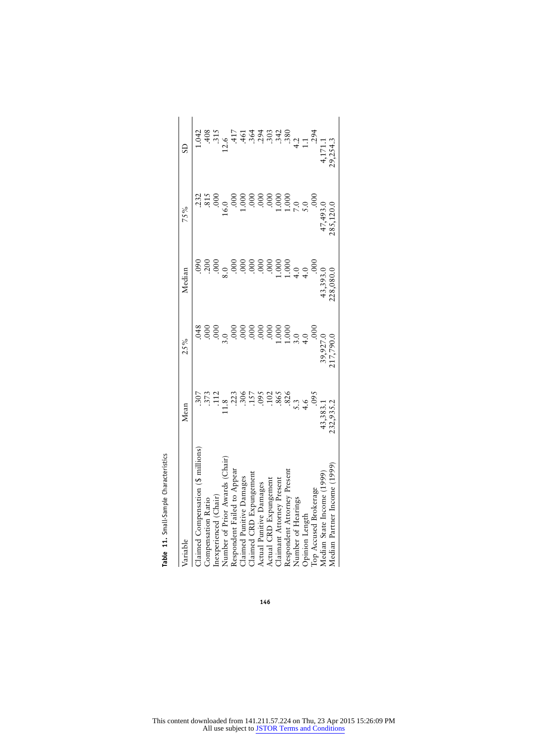| variable                          | Mean                    | 25%              | Median           | 75%          | S                                                                   |
|-----------------------------------|-------------------------|------------------|------------------|--------------|---------------------------------------------------------------------|
| Claimed Compensation (§ millions) |                         |                  |                  | .232         |                                                                     |
| Compensation Katio                |                         | .000             |                  | .815         |                                                                     |
| nexperienced (Chair)              |                         | .00 <sub>c</sub> | .00 <sub>c</sub> |              |                                                                     |
| Number of Prior Awards (Chair)    | 1.8                     |                  |                  | 6.0          | 12.6                                                                |
| Respondent Failed to Appear       |                         |                  |                  |              |                                                                     |
| Claimed Punitive Damages          |                         |                  |                  |              |                                                                     |
| Claimed CRD Expungement           |                         |                  |                  |              |                                                                     |
| Actual Punitive Damages           |                         | .000             |                  |              |                                                                     |
| Actual CRD Expungement            |                         | 00.              | .000             |              | 3 تا نا نا نا نا<br>19 تا تا تا با با با<br>19 تا با با با با با با |
| Claimant Attorney Present         | $.102$<br>865           | 000.1            | 1.000            | 1.00C        |                                                                     |
| Respondent Attorney Present       | .826                    | 1.00C            | 1.000            | 1.00C        |                                                                     |
| Number of Hearings                |                         |                  | 4.0              |              |                                                                     |
| Opinion Length                    | $5.\overline{3}$<br>4.6 | $3.0$<br>4.0     | 4.0              | $7.0$<br>5.0 | 4.1                                                                 |
| Top Accused Brokerage             | 095                     |                  | 00 <sub>c</sub>  |              | .294                                                                |
| Median State Income (1999         | 43,383.1                | 39,927.0         | 43,393.0         | 47,493.0     |                                                                     |
| Median Partner Income (1999)      | 232,935.2               | 17,790.0         | 228,080.0        | 85,120.0     | 19,254.3                                                            |

Table 11. Small-Sample Characteristics **Table 11.** Small-Sample Characteristics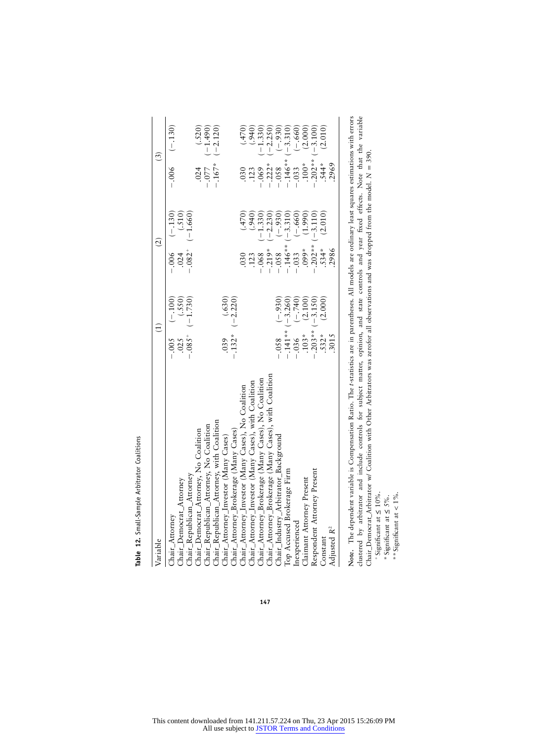| ֧֢֛֛֧֚֚֚֚֚֚֚֚֚֚֚֚֚֚֚֚֚֩֘֡֘֜֝֟<br>ľ |
|------------------------------------|
| 3<br>,<br>}                        |
| mnla<br>5<br>ı<br>î                |
|                                    |
|                                    |

| Variable                                                                         | $\overline{1}$                                     | $\widehat{c}$                                             | $\left( \frac{3}{2} \right)$ |
|----------------------------------------------------------------------------------|----------------------------------------------------|-----------------------------------------------------------|------------------------------|
| Chair_Attorney                                                                   | $(-.005 - (-100))$                                 | $-0.06$ $(-130)$                                          | $-0.006$ $(-.130)$           |
| Chair_Democrat_Attorney                                                          | (.550)<br>.025                                     | (.510)<br>.024                                            |                              |
| Chair_Republican_Attorney                                                        | $-.085^{+}$ (-1.730)                               | $.082^{+}$ (-1.660)                                       |                              |
| Chair_Democrat_Attorney, No Coalition                                            |                                                    |                                                           | (.520)<br>.024               |
| Chair_Republican_Attorney, No Coalition                                          |                                                    |                                                           | $(-1.490)$<br>$-0.77$        |
| Chair_Republican_Attorney, with Coalition                                        |                                                    |                                                           | $(-2.120)$<br>$-.167*$       |
| Chair_Attorney_Investor (Many Cases)                                             | $(0.630)$<br>-.132* $(-2.220)$                     |                                                           |                              |
| Chair_Attorney_Brokerage (Many Cases)                                            |                                                    |                                                           |                              |
| Chair_Attorney_Investor (Many Cases), No Coalition                               |                                                    | (0/4, 1)<br>030                                           | (0/4, 0)<br>030              |
| Chair_Attorney_Investor (Many Cases), with Coalition                             |                                                    | (.940)<br>.123                                            | (.940)<br>.123               |
| Chair_Attorney_Brokerage (Many Cases), No Coalition                              |                                                    | $(-1.330)$                                                | $(-1.330)$<br>$-0.69$        |
| Chair_Attorney_Brokerage (Many Cases), with Coalition                            |                                                    | $(-2.230)$                                                | $(-2.250)$                   |
| Chair_Industry_Arbitrator_Background                                             | $(-930)$                                           | $(-.930)$<br>$-0.068$<br>$-0.219$ <sup>*</sup><br>$-0.58$ | $(-.930)$<br>$-0.222$ *      |
| Top Accused Brokerage Firm                                                       | $-.141**(-3.260)$                                  | $-.146** (-3.310)$<br>-.033 (-.660)                       | $-.146**(-3.310)$            |
| Inexperienced                                                                    | $-0.036$ $(-.740)$                                 |                                                           | $(-.660)$<br>$-.033$         |
| Claimant Attorney Present                                                        | .103* (2.100)<br>-.203** (-3.150)<br>.532* (2.000) | (1.990)<br>$0.099**$                                      | (2.000)<br>$.100*$           |
| Respondent Attorney Present                                                      |                                                    | $.202**(-3.110)$                                          | $(-3.100)$<br>$.202**$       |
| Constant                                                                         |                                                    | (2.010)<br>.534*                                          | (2.010)<br>544*              |
| Adjusted R <sup>2</sup>                                                          | .3015                                              | 2986                                                      | 2969                         |
| "我们,我们不能不能不能。""我们,我们不能不能不能不能不能不能不能不能不能不能。""我们,我们不能不能不能不能不能不能不能不能。""我们,我们不能不能不能不能 |                                                    |                                                           |                              |
|                                                                                  |                                                    |                                                           |                              |

**147**

**Note.** The dependent variable is Compensation Ratio. The *t*-statistics are in parentheses. All models are ordinary least squares estimations with errors clustered by arbitrator and include controls for subject matter, opinion, and state controls and year fixed effects. Note that the variable Chair\_Democrat\_Arbitrator w/ Coalition with Other Arbitrators was zerofor all observations and was dropped from the model. N = 390. Note. The dependent variable is Compensation Ratio. The *t*-statistics are in parentheses. All models are ordinary least squares estimations with errors<br>clustered by arbitrator and include controls for subject matter, opi

 $+$ Significant at  $\leq 10\%$ .

\*Significant at 5%. ≤

\*\* Significant at  $< 1\%$ .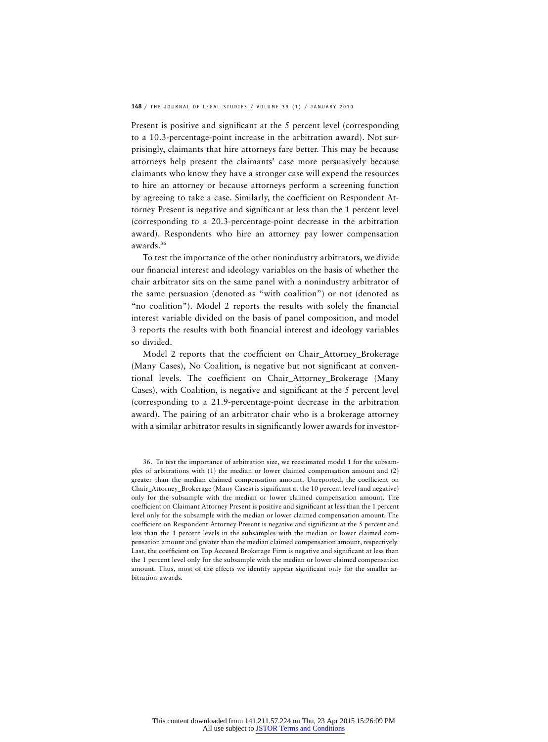Present is positive and significant at the 5 percent level (corresponding to a 10.3-percentage-point increase in the arbitration award). Not surprisingly, claimants that hire attorneys fare better. This may be because attorneys help present the claimants' case more persuasively because claimants who know they have a stronger case will expend the resources to hire an attorney or because attorneys perform a screening function by agreeing to take a case. Similarly, the coefficient on Respondent Attorney Present is negative and significant at less than the 1 percent level (corresponding to a 20.3-percentage-point decrease in the arbitration award). Respondents who hire an attorney pay lower compensation awards.36

To test the importance of the other nonindustry arbitrators, we divide our financial interest and ideology variables on the basis of whether the chair arbitrator sits on the same panel with a nonindustry arbitrator of the same persuasion (denoted as "with coalition") or not (denoted as "no coalition"). Model 2 reports the results with solely the financial interest variable divided on the basis of panel composition, and model 3 reports the results with both financial interest and ideology variables so divided.

Model 2 reports that the coefficient on Chair\_Attorney\_Brokerage (Many Cases), No Coalition, is negative but not significant at conventional levels. The coefficient on Chair\_Attorney\_Brokerage (Many Cases), with Coalition, is negative and significant at the 5 percent level (corresponding to a 21.9-percentage-point decrease in the arbitration award). The pairing of an arbitrator chair who is a brokerage attorney with a similar arbitrator results in significantly lower awards for investor-

<sup>36.</sup> To test the importance of arbitration size, we reestimated model 1 for the subsamples of arbitrations with (1) the median or lower claimed compensation amount and (2) greater than the median claimed compensation amount. Unreported, the coefficient on Chair\_Attorney\_Brokerage (Many Cases) is significant at the 10 percent level (and negative) only for the subsample with the median or lower claimed compensation amount. The coefficient on Claimant Attorney Present is positive and significant at less than the 1 percent level only for the subsample with the median or lower claimed compensation amount. The coefficient on Respondent Attorney Present is negative and significant at the 5 percent and less than the 1 percent levels in the subsamples with the median or lower claimed compensation amount and greater than the median claimed compensation amount, respectively. Last, the coefficient on Top Accused Brokerage Firm is negative and significant at less than the 1 percent level only for the subsample with the median or lower claimed compensation amount. Thus, most of the effects we identify appear significant only for the smaller arbitration awards.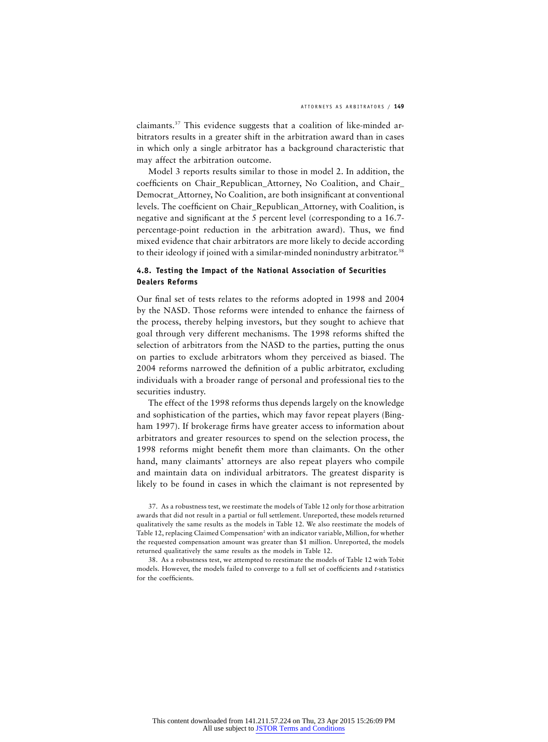claimants.37 This evidence suggests that a coalition of like-minded arbitrators results in a greater shift in the arbitration award than in cases in which only a single arbitrator has a background characteristic that may affect the arbitration outcome.

Model 3 reports results similar to those in model 2. In addition, the coefficients on Chair\_Republican\_Attorney, No Coalition, and Chair\_ Democrat\_Attorney, No Coalition, are both insignificant at conventional levels. The coefficient on Chair\_Republican\_Attorney, with Coalition, is negative and significant at the 5 percent level (corresponding to a 16.7 percentage-point reduction in the arbitration award). Thus, we find mixed evidence that chair arbitrators are more likely to decide according to their ideology if joined with a similar-minded nonindustry arbitrator.<sup>38</sup>

#### **4.8. Testing the Impact of the National Association of Securities Dealers Reforms**

Our final set of tests relates to the reforms adopted in 1998 and 2004 by the NASD. Those reforms were intended to enhance the fairness of the process, thereby helping investors, but they sought to achieve that goal through very different mechanisms. The 1998 reforms shifted the selection of arbitrators from the NASD to the parties, putting the onus on parties to exclude arbitrators whom they perceived as biased. The 2004 reforms narrowed the definition of a public arbitrator, excluding individuals with a broader range of personal and professional ties to the securities industry.

The effect of the 1998 reforms thus depends largely on the knowledge and sophistication of the parties, which may favor repeat players (Bingham 1997). If brokerage firms have greater access to information about arbitrators and greater resources to spend on the selection process, the 1998 reforms might benefit them more than claimants. On the other hand, many claimants' attorneys are also repeat players who compile and maintain data on individual arbitrators. The greatest disparity is likely to be found in cases in which the claimant is not represented by

38. As a robustness test, we attempted to reestimate the models of Table 12 with Tobit models. However, the models failed to converge to a full set of coefficients and *t*-statistics for the coefficients.

<sup>37.</sup> As a robustness test, we reestimate the models of Table 12 only for those arbitration awards that did not result in a partial or full settlement. Unreported, these models returned qualitatively the same results as the models in Table 12. We also reestimate the models of Table 12, replacing Claimed Compensation<sup>2</sup> with an indicator variable, Million, for whether the requested compensation amount was greater than \$1 million. Unreported, the models returned qualitatively the same results as the models in Table 12.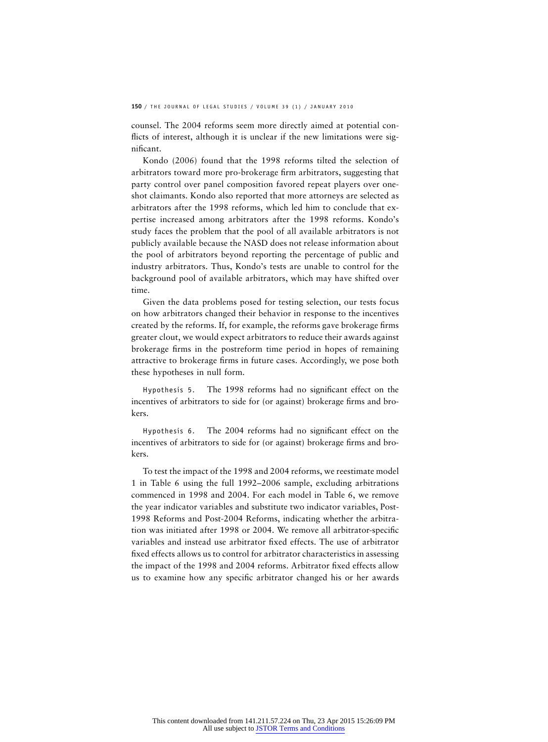counsel. The 2004 reforms seem more directly aimed at potential conflicts of interest, although it is unclear if the new limitations were significant.

Kondo (2006) found that the 1998 reforms tilted the selection of arbitrators toward more pro-brokerage firm arbitrators, suggesting that party control over panel composition favored repeat players over oneshot claimants. Kondo also reported that more attorneys are selected as arbitrators after the 1998 reforms, which led him to conclude that expertise increased among arbitrators after the 1998 reforms. Kondo's study faces the problem that the pool of all available arbitrators is not publicly available because the NASD does not release information about the pool of arbitrators beyond reporting the percentage of public and industry arbitrators. Thus, Kondo's tests are unable to control for the background pool of available arbitrators, which may have shifted over time.

Given the data problems posed for testing selection, our tests focus on how arbitrators changed their behavior in response to the incentives created by the reforms. If, for example, the reforms gave brokerage firms greater clout, we would expect arbitrators to reduce their awards against brokerage firms in the postreform time period in hopes of remaining attractive to brokerage firms in future cases. Accordingly, we pose both these hypotheses in null form.

Hypothesis 5. The 1998 reforms had no significant effect on the incentives of arbitrators to side for (or against) brokerage firms and brokers.

Hypothesis 6. The 2004 reforms had no significant effect on the incentives of arbitrators to side for (or against) brokerage firms and brokers.

To test the impact of the 1998 and 2004 reforms, we reestimate model 1 in Table 6 using the full 1992–2006 sample, excluding arbitrations commenced in 1998 and 2004. For each model in Table 6, we remove the year indicator variables and substitute two indicator variables, Post-1998 Reforms and Post-2004 Reforms, indicating whether the arbitration was initiated after 1998 or 2004. We remove all arbitrator-specific variables and instead use arbitrator fixed effects. The use of arbitrator fixed effects allows us to control for arbitrator characteristics in assessing the impact of the 1998 and 2004 reforms. Arbitrator fixed effects allow us to examine how any specific arbitrator changed his or her awards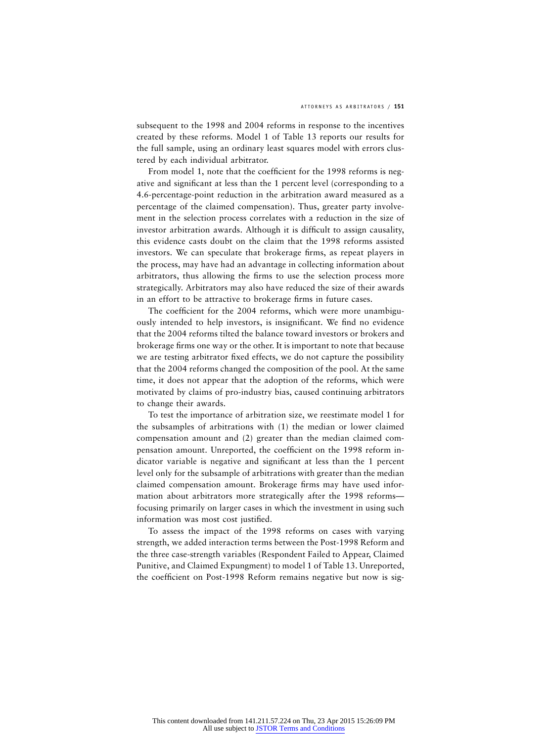subsequent to the 1998 and 2004 reforms in response to the incentives created by these reforms. Model 1 of Table 13 reports our results for the full sample, using an ordinary least squares model with errors clustered by each individual arbitrator.

From model 1, note that the coefficient for the 1998 reforms is negative and significant at less than the 1 percent level (corresponding to a 4.6-percentage-point reduction in the arbitration award measured as a percentage of the claimed compensation). Thus, greater party involvement in the selection process correlates with a reduction in the size of investor arbitration awards. Although it is difficult to assign causality, this evidence casts doubt on the claim that the 1998 reforms assisted investors. We can speculate that brokerage firms, as repeat players in the process, may have had an advantage in collecting information about arbitrators, thus allowing the firms to use the selection process more strategically. Arbitrators may also have reduced the size of their awards in an effort to be attractive to brokerage firms in future cases.

The coefficient for the 2004 reforms, which were more unambiguously intended to help investors, is insignificant. We find no evidence that the 2004 reforms tilted the balance toward investors or brokers and brokerage firms one way or the other. It is important to note that because we are testing arbitrator fixed effects, we do not capture the possibility that the 2004 reforms changed the composition of the pool. At the same time, it does not appear that the adoption of the reforms, which were motivated by claims of pro-industry bias, caused continuing arbitrators to change their awards.

To test the importance of arbitration size, we reestimate model 1 for the subsamples of arbitrations with (1) the median or lower claimed compensation amount and (2) greater than the median claimed compensation amount. Unreported, the coefficient on the 1998 reform indicator variable is negative and significant at less than the 1 percent level only for the subsample of arbitrations with greater than the median claimed compensation amount. Brokerage firms may have used information about arbitrators more strategically after the 1998 reforms focusing primarily on larger cases in which the investment in using such information was most cost justified.

To assess the impact of the 1998 reforms on cases with varying strength, we added interaction terms between the Post-1998 Reform and the three case-strength variables (Respondent Failed to Appear, Claimed Punitive, and Claimed Expungment) to model 1 of Table 13. Unreported, the coefficient on Post-1998 Reform remains negative but now is sig-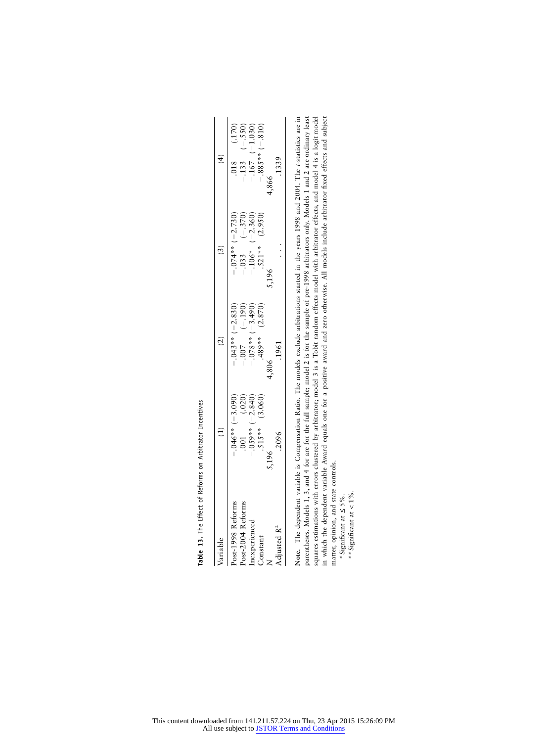| Variable                | $\widehat{E}$                                                           | $\widehat{c}$                                                                                          | $\binom{3}{2}$                                                                          | $\widehat{f}$                                                                      |
|-------------------------|-------------------------------------------------------------------------|--------------------------------------------------------------------------------------------------------|-----------------------------------------------------------------------------------------|------------------------------------------------------------------------------------|
| Post-1998 Reforms       |                                                                         |                                                                                                        |                                                                                         |                                                                                    |
| Post-2004 Reforms       | $-0.046** (-3.090)$<br>.001 (.020)<br>.003** (-2.840)<br>.515** (3.060) | $-0.043**(-2.830)$<br>$-0.007$<br>$-0.078**(-1.90)$<br>$-0.078**(-3.490)$<br>$-0.058.5-)$<br>$(0.615)$ | $-0.074** (-2.730)$<br>$-0.033$ (-.370)<br>$-106*$ (-2.360)<br>$-350$<br>.521** (2.950) | .018 (.170)<br>$-133$ (.550)<br>$-133$ (.550)<br>$-167$ (.1.030)<br>$-885$ * (810) |
| nexperienced            |                                                                         |                                                                                                        |                                                                                         |                                                                                    |
| Constant                |                                                                         |                                                                                                        |                                                                                         |                                                                                    |
| $\overline{\mathsf{z}}$ | ,196                                                                    |                                                                                                        | 5,196                                                                                   | .866                                                                               |
| Adjusted R <sup>2</sup> | 2096                                                                    | .1961                                                                                                  |                                                                                         | 1339                                                                               |

Table 13. The Effect of Reforms on Arbitrator Incentives **Table 13.** The Effect of Reforms on Arbitrator Incentives

Note. The dependent variable is Compensation Ratio. The models exclude arbitrations started in the years 1998 and 2004. The t-statistics are in<br>parentheses. Models 1, 3, and 4 for are for the full sample; model 2 is for th in which the dependent variable Award equals one for a positive award and zero otherwise. All models include arbitrator fixed effects and subject **Note.** The dependent variable is Compensation Ratio. The models exclude arbitrations started in the years 1998 and 2004. The *t*-statistics are in parentheses. Models 1, 3, and 4 for are for the full sample; model 2 is for the sample of pre-1998 arbitrators only. Models 1 and 2 are ordinary least squares estimations with errors clustered by arbitrator; model 3 is a Tobit random effects model with arbitrator effects, and model 4 is a logit model in which the dependent variable Award equals one for a positive award and zero otherwise. All models include arbitrator fixed effects and subject matter, opinion, and state controls. matter, opinion, and state controls.

\* Significant at  $\leq$  5%.<br>\*\* Significant at < 1%. \*Significant at 5%. ≤

\*\*Significant at  $< 1\%$ .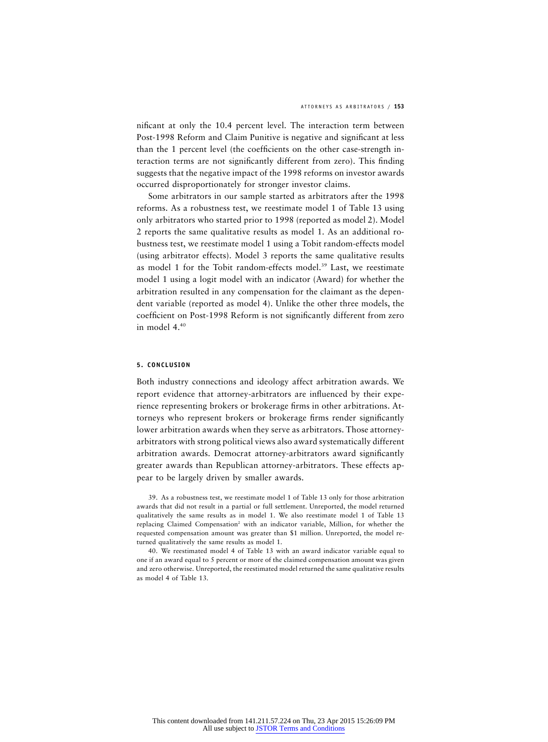nificant at only the 10.4 percent level. The interaction term between Post-1998 Reform and Claim Punitive is negative and significant at less than the 1 percent level (the coefficients on the other case-strength interaction terms are not significantly different from zero). This finding suggests that the negative impact of the 1998 reforms on investor awards occurred disproportionately for stronger investor claims.

Some arbitrators in our sample started as arbitrators after the 1998 reforms. As a robustness test, we reestimate model 1 of Table 13 using only arbitrators who started prior to 1998 (reported as model 2). Model 2 reports the same qualitative results as model 1. As an additional robustness test, we reestimate model 1 using a Tobit random-effects model (using arbitrator effects). Model 3 reports the same qualitative results as model 1 for the Tobit random-effects model.<sup>39</sup> Last, we reestimate model 1 using a logit model with an indicator (Award) for whether the arbitration resulted in any compensation for the claimant as the dependent variable (reported as model 4). Unlike the other three models, the coefficient on Post-1998 Reform is not significantly different from zero in model  $4^{40}$ 

#### **5. CONCLUSION**

Both industry connections and ideology affect arbitration awards. We report evidence that attorney-arbitrators are influenced by their experience representing brokers or brokerage firms in other arbitrations. Attorneys who represent brokers or brokerage firms render significantly lower arbitration awards when they serve as arbitrators. Those attorneyarbitrators with strong political views also award systematically different arbitration awards. Democrat attorney-arbitrators award significantly greater awards than Republican attorney-arbitrators. These effects appear to be largely driven by smaller awards.

39. As a robustness test, we reestimate model 1 of Table 13 only for those arbitration awards that did not result in a partial or full settlement. Unreported, the model returned qualitatively the same results as in model 1. We also reestimate model 1 of Table 13 replacing Claimed Compensation<sup>2</sup> with an indicator variable, Million, for whether the requested compensation amount was greater than \$1 million. Unreported, the model returned qualitatively the same results as model 1.

40. We reestimated model 4 of Table 13 with an award indicator variable equal to one if an award equal to 5 percent or more of the claimed compensation amount was given and zero otherwise. Unreported, the reestimated model returned the same qualitative results as model 4 of Table 13.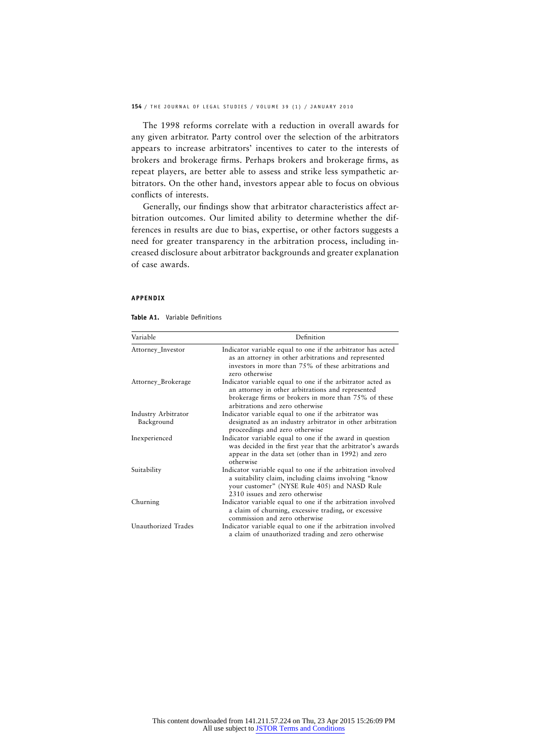The 1998 reforms correlate with a reduction in overall awards for any given arbitrator. Party control over the selection of the arbitrators appears to increase arbitrators' incentives to cater to the interests of brokers and brokerage firms. Perhaps brokers and brokerage firms, as repeat players, are better able to assess and strike less sympathetic arbitrators. On the other hand, investors appear able to focus on obvious conflicts of interests.

Generally, our findings show that arbitrator characteristics affect arbitration outcomes. Our limited ability to determine whether the differences in results are due to bias, expertise, or other factors suggests a need for greater transparency in the arbitration process, including increased disclosure about arbitrator backgrounds and greater explanation of case awards.

#### **APPENDIX**

| Table A1. | Variable Definitions |
|-----------|----------------------|
|           |                      |

| Variable                          | Definition                                                                                                                                                                                                 |
|-----------------------------------|------------------------------------------------------------------------------------------------------------------------------------------------------------------------------------------------------------|
| Attorney_Investor                 | Indicator variable equal to one if the arbitrator has acted<br>as an attorney in other arbitrations and represented<br>investors in more than 75% of these arbitrations and<br>zero otherwise              |
| Attorney_Brokerage                | Indicator variable equal to one if the arbitrator acted as<br>an attorney in other arbitrations and represented<br>brokerage firms or brokers in more than 75% of these<br>arbitrations and zero otherwise |
| Industry Arbitrator<br>Background | Indicator variable equal to one if the arbitrator was<br>designated as an industry arbitrator in other arbitration<br>proceedings and zero otherwise                                                       |
| Inexperienced                     | Indicator variable equal to one if the award in question<br>was decided in the first year that the arbitrator's awards<br>appear in the data set (other than in 1992) and zero<br>otherwise                |
| Suitability                       | Indicator variable equal to one if the arbitration involved<br>a suitability claim, including claims involving "know<br>your customer" (NYSE Rule 405) and NASD Rule<br>2310 issues and zero otherwise     |
| Churning                          | Indicator variable equal to one if the arbitration involved<br>a claim of churning, excessive trading, or excessive<br>commission and zero otherwise                                                       |
| Unauthorized Trades               | Indicator variable equal to one if the arbitration involved<br>a claim of unauthorized trading and zero otherwise                                                                                          |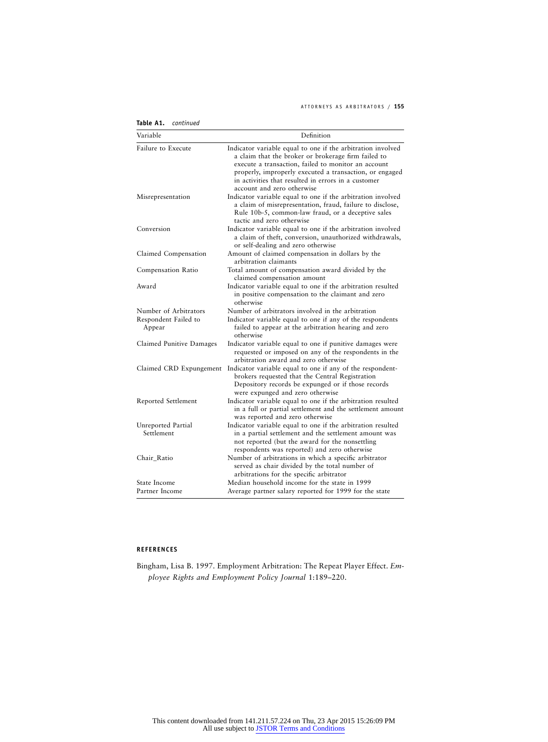#### ATTORNEYS AS ARBITRATORS / **155**

| Variable                         | Definition                                                                                                                                                                                                                                                                                                                |
|----------------------------------|---------------------------------------------------------------------------------------------------------------------------------------------------------------------------------------------------------------------------------------------------------------------------------------------------------------------------|
| <b>Failure to Execute</b>        | Indicator variable equal to one if the arbitration involved<br>a claim that the broker or brokerage firm failed to<br>execute a transaction, failed to monitor an account<br>properly, improperly executed a transaction, or engaged<br>in activities that resulted in errors in a customer<br>account and zero otherwise |
| Misrepresentation                | Indicator variable equal to one if the arbitration involved<br>a claim of misrepresentation, fraud, failure to disclose,<br>Rule 10b-5, common-law fraud, or a deceptive sales<br>tactic and zero otherwise                                                                                                               |
| Conversion                       | Indicator variable equal to one if the arbitration involved<br>a claim of theft, conversion, unauthorized withdrawals,<br>or self-dealing and zero otherwise                                                                                                                                                              |
| Claimed Compensation             | Amount of claimed compensation in dollars by the<br>arbitration claimants                                                                                                                                                                                                                                                 |
| Compensation Ratio               | Total amount of compensation award divided by the<br>claimed compensation amount                                                                                                                                                                                                                                          |
| Award                            | Indicator variable equal to one if the arbitration resulted<br>in positive compensation to the claimant and zero<br>otherwise                                                                                                                                                                                             |
| Number of Arbitrators            | Number of arbitrators involved in the arbitration                                                                                                                                                                                                                                                                         |
| Respondent Failed to<br>Appear   | Indicator variable equal to one if any of the respondents<br>failed to appear at the arbitration hearing and zero<br>otherwise                                                                                                                                                                                            |
| Claimed Punitive Damages         | Indicator variable equal to one if punitive damages were<br>requested or imposed on any of the respondents in the<br>arbitration award and zero otherwise                                                                                                                                                                 |
| Claimed CRD Expungement          | Indicator variable equal to one if any of the respondent-<br>brokers requested that the Central Registration<br>Depository records be expunged or if those records<br>were expunged and zero otherwise                                                                                                                    |
| Reported Settlement              | Indicator variable equal to one if the arbitration resulted<br>in a full or partial settlement and the settlement amount<br>was reported and zero otherwise                                                                                                                                                               |
| Unreported Partial<br>Settlement | Indicator variable equal to one if the arbitration resulted<br>in a partial settlement and the settlement amount was<br>not reported (but the award for the nonsettling<br>respondents was reported) and zero otherwise                                                                                                   |
| Chair Ratio                      | Number of arbitrations in which a specific arbitrator<br>served as chair divided by the total number of<br>arbitrations for the specific arbitrator                                                                                                                                                                       |
| State Income                     | Median household income for the state in 1999                                                                                                                                                                                                                                                                             |
| Partner Income                   | Average partner salary reported for 1999 for the state                                                                                                                                                                                                                                                                    |

**Table A1.** *continued*

#### **REFERENCES**

Bingham, Lisa B. 1997. Employment Arbitration: The Repeat Player Effect. *Employee Rights and Employment Policy Journal* 1:189–220.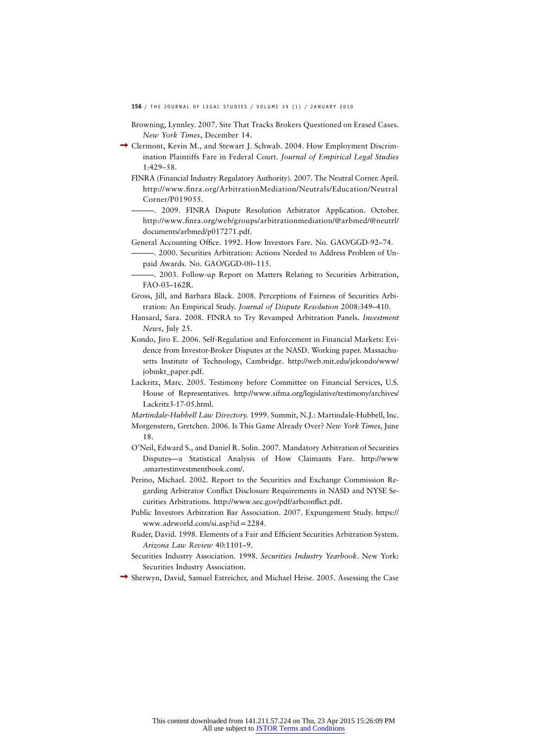- Browning, Lynnley. 2007. Site That Tracks Brokers Questioned on Erased Cases. *New York Times*, December 14.
- Clermont, Kevin M., and Stewart J. Schwab. 2004. How Employment Discrimination Plaintiffs Fare in Federal Court. *Journal of Empirical Legal Studies* 1:429–58.
	- FINRA (Financial Industry Regulatory Authority). 2007. The Neutral Corner. April. http://www.finra.org/ArbitrationMediation/Neutrals/Education/Neutral Corner/P019055.
	- -. 2009. FINRA Dispute Resolution Arbitrator Application. October. http://www.finra.org/web/groups/arbitrationmediation/@arbmed/@neutrl/ documents/arbmed/p017271.pdf.
	- General Accounting Office. 1992. How Investors Fare. No. GAO/GGD-92–74.
		- ———. 2000. Securities Arbitration: Actions Needed to Address Problem of Unpaid Awards. No. GAO/GGD-00–115.
	- -. 2003. Follow-up Report on Matters Relating to Securities Arbitration, FAO-03–162R.
	- Gross, Jill, and Barbara Black. 2008. Perceptions of Fairness of Securities Arbitration: An Empirical Study. *Journal of Dispute Resolution* 2008:349–410.
	- Hansard, Sara. 2008. FINRA to Try Revamped Arbitration Panels. *Investment News*, July 25.
	- Kondo, Jiro E. 2006. Self-Regulation and Enforcement in Financial Markets: Evidence from Investor-Broker Disputes at the NASD. Working paper. Massachusetts Institute of Technology, Cambridge. http://web.mit.edu/jekondo/www/ jobmkt\_paper.pdf.
	- Lackritz, Marc. 2005. Testimony before Committee on Financial Services, U.S. House of Representatives. http://www.sifma.org/legislative/testimony/archives/ Lackritz3-17-05.html.
	- *Martindale-Hubbell Law Directory.* 1999. Summit, N.J.: Martindale-Hubbell, Inc.
	- Morgenstern, Gretchen. 2006. Is This Game Already Over? *New York Times*, June 18.
	- O'Neil, Edward S., and Daniel R. Solin. 2007. Mandatory Arbitration of Securities Disputes—a Statistical Analysis of How Claimants Fare. http://www .smartestinvestmentbook.com/.
	- Perino, Michael. 2002. Report to the Securities and Exchange Commission Regarding Arbitrator Conflict Disclosure Requirements in NASD and NYSE Securities Arbitrations. http://www.sec.gov/pdf/arbconflict.pdf.
	- Public Investors Arbitration Bar Association. 2007. Expungement Study. https:// www.adrworld.com/si.asp?id=2284.
	- Ruder, David. 1998. Elements of a Fair and Efficient Securities Arbitration System. *Arizona Law Review* 40:1101–9.
	- Securities Industry Association. 1998. *Securities Industry Yearbook*. New York: Securities Industry Association.
- $\rightarrow$  Sherwyn, David, Samuel Estreicher, and Michael Heise. 2005. Assessing the Case